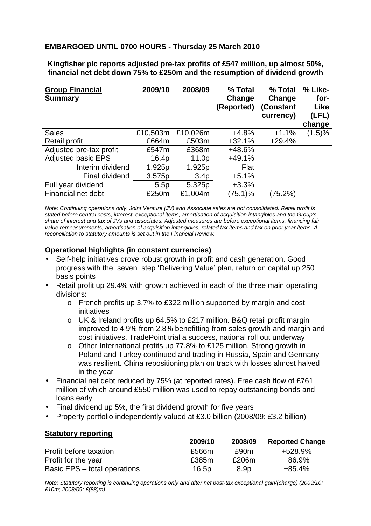# **EMBARGOED UNTIL 0700 HOURS - Thursday 25 March 2010**

**Kingfisher plc reports adjusted pre-tax profits of £547 million, up almost 50%, financial net debt down 75% to £250m and the resumption of dividend growth** 

| <b>Group Financial</b><br><b>Summary</b> | 2009/10  | 2008/09          | % Total<br>Change<br>(Reported) | % Total<br>Change<br>(Constant<br>currency) | % Like-<br>for-<br>Like<br>(LFL)<br>change |
|------------------------------------------|----------|------------------|---------------------------------|---------------------------------------------|--------------------------------------------|
| <b>Sales</b>                             | £10,503m | £10,026m         | $+4.8%$                         | $+1.1%$                                     | (1.5)%                                     |
| Retail profit                            | £664m    | £503m            | $+32.1%$                        | $+29.4%$                                    |                                            |
| Adjusted pre-tax profit                  | £547m    | £368m            | +48.6%                          |                                             |                                            |
| <b>Adjusted basic EPS</b>                | 16.4p    | 11.0p            | $+49.1%$                        |                                             |                                            |
| Interim dividend                         | 1.925p   | 1.925p           | Flat                            |                                             |                                            |
| <b>Final dividend</b>                    | 3.575p   | 3.4 <sub>p</sub> | $+5.1%$                         |                                             |                                            |
| Full year dividend                       | 5.5p     | 5.325p           | $+3.3%$                         |                                             |                                            |
| Financial net debt                       | £250m    | £1,004m          | (75.1)%                         | (75.2%)                                     |                                            |

Note: Continuing operations only. Joint Venture (JV) and Associate sales are not consolidated. Retail profit is stated before central costs, interest, exceptional items, amortisation of acquisition intangibles and the Group's share of interest and tax of JVs and associates. Adjusted measures are before exceptional items, financing fair value remeasurements, amortisation of acquisition intangibles, related tax items and tax on prior year items. A reconciliation to statutory amounts is set out in the Financial Review.

## **Operational highlights (in constant currencies)**

- Self-help initiatives drove robust growth in profit and cash generation. Good progress with the seven step 'Delivering Value' plan, return on capital up 250 basis points
- Retail profit up 29.4% with growth achieved in each of the three main operating divisions:
	- o French profits up 3.7% to £322 million supported by margin and cost initiatives
	- o UK & Ireland profits up 64.5% to £217 million. B&Q retail profit margin improved to 4.9% from 2.8% benefitting from sales growth and margin and cost initiatives. TradePoint trial a success, national roll out underway
	- o Other International profits up 77.8% to £125 million. Strong growth in Poland and Turkey continued and trading in Russia, Spain and Germany was resilient. China repositioning plan on track with losses almost halved in the year
- Financial net debt reduced by 75% (at reported rates). Free cash flow of £761 million of which around £550 million was used to repay outstanding bonds and loans early
- Final dividend up 5%, the first dividend growth for five years
- Property portfolio independently valued at £3.0 billion (2008/09: £3.2 billion)

| $\frac{1}{2}$                | 2009/10 | 2008/09 | <b>Reported Change</b> |
|------------------------------|---------|---------|------------------------|
| Profit before taxation       | £566m   | £90m    | +528.9%                |
| Profit for the year          | £385m   | £206m   | $+86.9%$               |
| Basic EPS – total operations | 16.5p   | 8.9p    | $+85.4%$               |

### **Statutory reporting**

Note: Statutory reporting is continuing operations only and after net post-tax exceptional gain/(charge) (2009/10: £10m; 2008/09: £(88)m)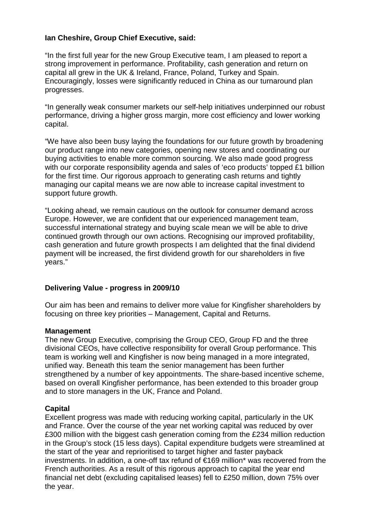## **Ian Cheshire, Group Chief Executive, said:**

"In the first full year for the new Group Executive team, I am pleased to report a strong improvement in performance. Profitability, cash generation and return on capital all grew in the UK & Ireland, France, Poland, Turkey and Spain. Encouragingly, losses were significantly reduced in China as our turnaround plan progresses.

"In generally weak consumer markets our self-help initiatives underpinned our robust performance, driving a higher gross margin, more cost efficiency and lower working capital.

"We have also been busy laying the foundations for our future growth by broadening our product range into new categories, opening new stores and coordinating our buying activities to enable more common sourcing. We also made good progress with our corporate responsibility agenda and sales of 'eco products' topped £1 billion for the first time. Our rigorous approach to generating cash returns and tightly managing our capital means we are now able to increase capital investment to support future growth.

"Looking ahead, we remain cautious on the outlook for consumer demand across Europe. However, we are confident that our experienced management team, successful international strategy and buying scale mean we will be able to drive continued growth through our own actions. Recognising our improved profitability, cash generation and future growth prospects I am delighted that the final dividend payment will be increased, the first dividend growth for our shareholders in five years."

### **Delivering Value - progress in 2009/10**

Our aim has been and remains to deliver more value for Kingfisher shareholders by focusing on three key priorities – Management, Capital and Returns.

### **Management**

The new Group Executive, comprising the Group CEO, Group FD and the three divisional CEOs, have collective responsibility for overall Group performance. This team is working well and Kingfisher is now being managed in a more integrated, unified way. Beneath this team the senior management has been further strengthened by a number of key appointments. The share-based incentive scheme, based on overall Kingfisher performance, has been extended to this broader group and to store managers in the UK, France and Poland.

#### **Capital**

Excellent progress was made with reducing working capital, particularly in the UK and France. Over the course of the year net working capital was reduced by over £300 million with the biggest cash generation coming from the £234 million reduction in the Group's stock (15 less days). Capital expenditure budgets were streamlined at the start of the year and reprioritised to target higher and faster payback investments. In addition, a one-off tax refund of €169 million\* was recovered from the French authorities. As a result of this rigorous approach to capital the year end financial net debt (excluding capitalised leases) fell to £250 million, down 75% over the year.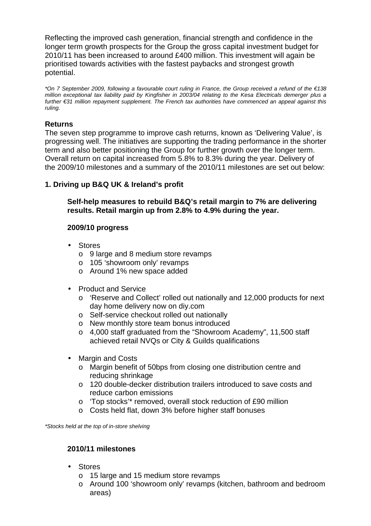Reflecting the improved cash generation, financial strength and confidence in the longer term growth prospects for the Group the gross capital investment budget for 2010/11 has been increased to around £400 million. This investment will again be prioritised towards activities with the fastest paybacks and strongest growth potential.

\*On 7 September 2009, following a favourable court ruling in France, the Group received a refund of the €138 million exceptional tax liability paid by Kingfisher in 2003/04 relating to the Kesa Electricals demerger plus a further €31 million repayment supplement. The French tax authorities have commenced an appeal against this ruling.

## **Returns**

The seven step programme to improve cash returns, known as 'Delivering Value', is progressing well. The initiatives are supporting the trading performance in the shorter term and also better positioning the Group for further growth over the longer term. Overall return on capital increased from 5.8% to 8.3% during the year. Delivery of the 2009/10 milestones and a summary of the 2010/11 milestones are set out below:

# **1. Driving up B&Q UK & Ireland's profit**

**Self-help measures to rebuild B&Q's retail margin to 7% are delivering results. Retail margin up from 2.8% to 4.9% during the year.** 

## **2009/10 progress**

- Stores
	- o 9 large and 8 medium store revamps
	- o 105 'showroom only' revamps
	- o Around 1% new space added
- Product and Service
	- o 'Reserve and Collect' rolled out nationally and 12,000 products for next day home delivery now on diy.com
	- o Self-service checkout rolled out nationally
	- o New monthly store team bonus introduced
	- o 4,000 staff graduated from the "Showroom Academy", 11,500 staff achieved retail NVQs or City & Guilds qualifications
- Margin and Costs
	- o Margin benefit of 50bps from closing one distribution centre and reducing shrinkage
	- o 120 double-decker distribution trailers introduced to save costs and reduce carbon emissions
	- o 'Top stocks'\* removed, overall stock reduction of £90 million
	- o Costs held flat, down 3% before higher staff bonuses

\*Stocks held at the top of in-store shelving

- Stores
	- o 15 large and 15 medium store revamps
	- o Around 100 'showroom only' revamps (kitchen, bathroom and bedroom areas)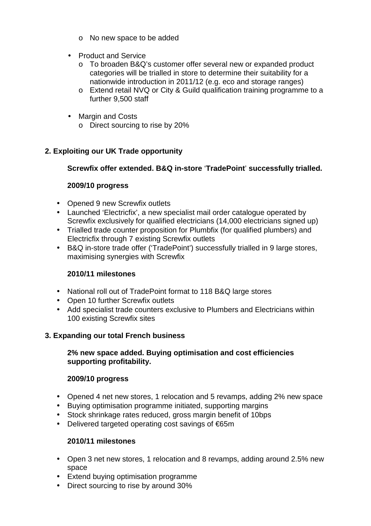- o No new space to be added
- Product and Service
	- o To broaden B&Q's customer offer several new or expanded product categories will be trialled in store to determine their suitability for a nationwide introduction in 2011/12 (e.g. eco and storage ranges)
	- o Extend retail NVQ or City & Guild qualification training programme to a further 9,500 staff
- Margin and Costs
	- o Direct sourcing to rise by 20%

# **2. Exploiting our UK Trade opportunity**

# **Screwfix offer extended. B&Q in-store** '**TradePoint**' **successfully trialled.**

# **2009/10 progress**

- Opened 9 new Screwfix outlets
- Launched 'Electricfix', a new specialist mail order catalogue operated by Screwfix exclusively for qualified electricians (14,000 electricians signed up)
- Trialled trade counter proposition for Plumbfix (for qualified plumbers) and Electricfix through 7 existing Screwfix outlets
- B&Q in-store trade offer ('TradePoint') successfully trialled in 9 large stores, maximising synergies with Screwfix

# **2010/11 milestones**

- National roll out of TradePoint format to 118 B&Q large stores
- Open 10 further Screwfix outlets
- Add specialist trade counters exclusive to Plumbers and Electricians within 100 existing Screwfix sites

# **3. Expanding our total French business**

## **2% new space added. Buying optimisation and cost efficiencies supporting profitability.**

# **2009/10 progress**

- Opened 4 net new stores, 1 relocation and 5 revamps, adding 2% new space
- Buying optimisation programme initiated, supporting margins
- Stock shrinkage rates reduced, gross margin benefit of 10bps
- Delivered targeted operating cost savings of €65m

- Open 3 net new stores, 1 relocation and 8 revamps, adding around 2.5% new space
- Extend buying optimisation programme
- Direct sourcing to rise by around 30%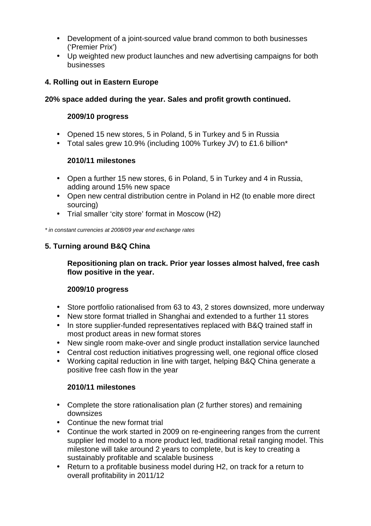- Development of a joint-sourced value brand common to both businesses ('Premier Prix')
- Up weighted new product launches and new advertising campaigns for both businesses

# **4. Rolling out in Eastern Europe**

## **20% space added during the year. Sales and profit growth continued.**

## **2009/10 progress**

- Opened 15 new stores, 5 in Poland, 5 in Turkey and 5 in Russia
- Total sales grew 10.9% (including 100% Turkey JV) to £1.6 billion\*

# **2010/11 milestones**

- Open a further 15 new stores, 6 in Poland, 5 in Turkey and 4 in Russia, adding around 15% new space
- Open new central distribution centre in Poland in H2 (to enable more direct sourcing)
- Trial smaller 'city store' format in Moscow (H2)

\* in constant currencies at 2008/09 year end exchange rates

# **5. Turning around B&Q China**

**Repositioning plan on track. Prior year losses almost halved, free cash flow positive in the year.** 

# **2009/10 progress**

- Store portfolio rationalised from 63 to 43, 2 stores downsized, more underway
- New store format trialled in Shanghai and extended to a further 11 stores
- In store supplier-funded representatives replaced with B&Q trained staff in most product areas in new format stores
- New single room make-over and single product installation service launched
- Central cost reduction initiatives progressing well, one regional office closed
- Working capital reduction in line with target, helping B&Q China generate a positive free cash flow in the year

- Complete the store rationalisation plan (2 further stores) and remaining downsizes
- Continue the new format trial
- Continue the work started in 2009 on re-engineering ranges from the current supplier led model to a more product led, traditional retail ranging model. This milestone will take around 2 years to complete, but is key to creating a sustainably profitable and scalable business
- Return to a profitable business model during H2, on track for a return to overall profitability in 2011/12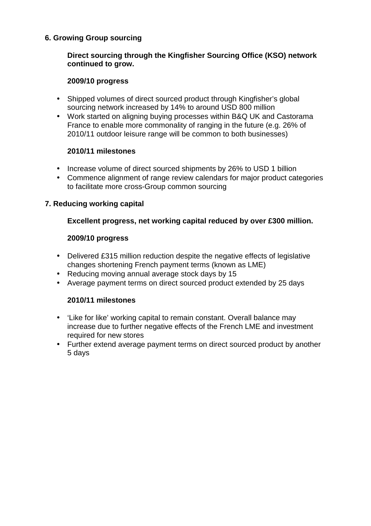## **6. Growing Group sourcing**

## **Direct sourcing through the Kingfisher Sourcing Office (KSO) network continued to grow.**

## **2009/10 progress**

- Shipped volumes of direct sourced product through Kingfisher's global sourcing network increased by 14% to around USD 800 million
- Work started on aligning buying processes within B&Q UK and Castorama France to enable more commonality of ranging in the future (e.g. 26% of 2010/11 outdoor leisure range will be common to both businesses)

### **2010/11 milestones**

- Increase volume of direct sourced shipments by 26% to USD 1 billion
- Commence alignment of range review calendars for major product categories to facilitate more cross-Group common sourcing

## **7. Reducing working capital**

## **Excellent progress, net working capital reduced by over £300 million.**

### **2009/10 progress**

- Delivered £315 million reduction despite the negative effects of legislative changes shortening French payment terms (known as LME)
- Reducing moving annual average stock days by 15
- Average payment terms on direct sourced product extended by 25 days

- 'Like for like' working capital to remain constant. Overall balance may increase due to further negative effects of the French LME and investment required for new stores
- Further extend average payment terms on direct sourced product by another 5 days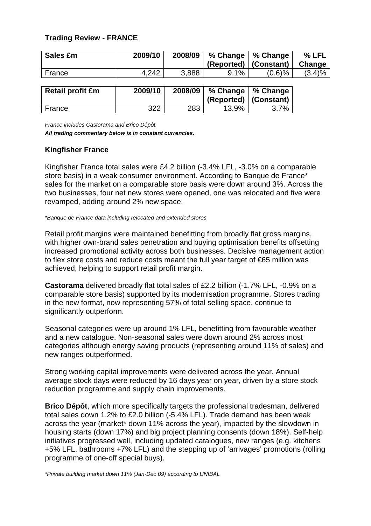## **Trading Review - FRANCE**

| Sales £m | 2009/10 | 2008/09 | $(Reported)$ (Constant) | % Change   % Change | % LFL<br>Change |
|----------|---------|---------|-------------------------|---------------------|-----------------|
| France   | 4,242   | 3,888   | 9.1%                    | $(0.6)$ %           | $(3.4)\%$       |

| <b>Retail profit £m</b> | 2009/10 | 2008/09 |       | % Change   % Change<br>(Reported)   (Constant) |
|-------------------------|---------|---------|-------|------------------------------------------------|
| France                  | 322     | 283     | 13.9% | 3.7%                                           |

France includes Castorama and Brico Dépôt. **All trading commentary below is in constant currencies.** 

### **Kingfisher France**

Kingfisher France total sales were £4.2 billion (-3.4% LFL, -3.0% on a comparable store basis) in a weak consumer environment. According to Banque de France\* sales for the market on a comparable store basis were down around 3%. Across the two businesses, four net new stores were opened, one was relocated and five were revamped, adding around 2% new space.

#### \*Banque de France data including relocated and extended stores

Retail profit margins were maintained benefitting from broadly flat gross margins, with higher own-brand sales penetration and buying optimisation benefits offsetting increased promotional activity across both businesses. Decisive management action to flex store costs and reduce costs meant the full year target of €65 million was achieved, helping to support retail profit margin.

**Castorama** delivered broadly flat total sales of £2.2 billion (-1.7% LFL, -0.9% on a comparable store basis) supported by its modernisation programme. Stores trading in the new format, now representing 57% of total selling space, continue to significantly outperform.

Seasonal categories were up around 1% LFL, benefitting from favourable weather and a new catalogue. Non-seasonal sales were down around 2% across most categories although energy saving products (representing around 11% of sales) and new ranges outperformed.

Strong working capital improvements were delivered across the year. Annual average stock days were reduced by 16 days year on year, driven by a store stock reduction programme and supply chain improvements.

**Brico Dépôt**, which more specifically targets the professional tradesman, delivered total sales down 1.2% to £2.0 billion (-5.4% LFL). Trade demand has been weak across the year (market\* down 11% across the year), impacted by the slowdown in housing starts (down 17%) and big project planning consents (down 18%). Self-help initiatives progressed well, including updated catalogues, new ranges (e.g. kitchens +5% LFL, bathrooms +7% LFL) and the stepping up of 'arrivages' promotions (rolling programme of one-off special buys).

\*Private building market down 11% (Jan-Dec 09) according to UNIBAL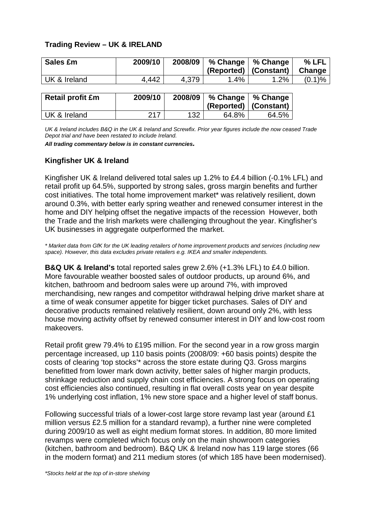## **Trading Review – UK & IRELAND**

| Sales £m                | 2009/10 | 2008/09 | % Change   | % Change   | $%$ LFL |
|-------------------------|---------|---------|------------|------------|---------|
|                         |         |         | (Reported) | (Constant) | Change  |
| UK & Ireland            | 4,442   | 4,379   | 1.4%       | 1.2%       | (0.1)%  |
|                         |         |         |            |            |         |
| <b>Retail profit £m</b> | 2009/10 | 2008/09 | % Change   | % Change   |         |
|                         |         |         | (Reported) | (Constant) |         |
| UK & Ireland            | 217     | 132     | 64.8%      | 64.5%      |         |

UK & Ireland includes B&Q in the UK & Ireland and Screwfix. Prior year figures include the now ceased Trade Depot trial and have been restated to include Ireland.

**All trading commentary below is in constant currencies.** 

## **Kingfisher UK & Ireland**

Kingfisher UK & Ireland delivered total sales up 1.2% to £4.4 billion (-0.1% LFL) and retail profit up 64.5%, supported by strong sales, gross margin benefits and further cost initiatives. The total home improvement market\* was relatively resilient, down around 0.3%, with better early spring weather and renewed consumer interest in the home and DIY helping offset the negative impacts of the recession However, both the Trade and the Irish markets were challenging throughout the year. Kingfisher's UK businesses in aggregate outperformed the market.

\* Market data from GfK for the UK leading retailers of home improvement products and services (including new space). However, this data excludes private retailers e.g. IKEA and smaller independents.

**B&Q UK & Ireland's** total reported sales grew 2.6% (+1.3% LFL) to £4.0 billion. More favourable weather boosted sales of outdoor products, up around 6%, and kitchen, bathroom and bedroom sales were up around 7%, with improved merchandising, new ranges and competitor withdrawal helping drive market share at a time of weak consumer appetite for bigger ticket purchases. Sales of DIY and decorative products remained relatively resilient, down around only 2%, with less house moving activity offset by renewed consumer interest in DIY and low-cost room makeovers.

Retail profit grew 79.4% to £195 million. For the second year in a row gross margin percentage increased, up 110 basis points (2008/09: +60 basis points) despite the costs of clearing 'top stocks'\* across the store estate during Q3. Gross margins benefitted from lower mark down activity, better sales of higher margin products, shrinkage reduction and supply chain cost efficiencies. A strong focus on operating cost efficiencies also continued, resulting in flat overall costs year on year despite 1% underlying cost inflation, 1% new store space and a higher level of staff bonus.

Following successful trials of a lower-cost large store revamp last year (around £1 million versus £2.5 million for a standard revamp), a further nine were completed during 2009/10 as well as eight medium format stores. In addition, 80 more limited revamps were completed which focus only on the main showroom categories (kitchen, bathroom and bedroom). B&Q UK & Ireland now has 119 large stores (66 in the modern format) and 211 medium stores (of which 185 have been modernised).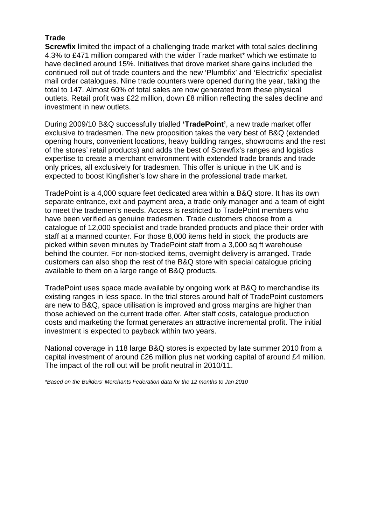## **Trade**

**Screwfix** limited the impact of a challenging trade market with total sales declining 4.3% to £471 million compared with the wider Trade market\* which we estimate to have declined around 15%. Initiatives that drove market share gains included the continued roll out of trade counters and the new 'Plumbfix' and 'Electricfix' specialist mail order catalogues. Nine trade counters were opened during the year, taking the total to 147. Almost 60% of total sales are now generated from these physical outlets. Retail profit was £22 million, down £8 million reflecting the sales decline and investment in new outlets.

During 2009/10 B&Q successfully trialled **'TradePoint'**, a new trade market offer exclusive to tradesmen. The new proposition takes the very best of B&Q (extended opening hours, convenient locations, heavy building ranges, showrooms and the rest of the stores' retail products) and adds the best of Screwfix's ranges and logistics expertise to create a merchant environment with extended trade brands and trade only prices, all exclusively for tradesmen. This offer is unique in the UK and is expected to boost Kingfisher's low share in the professional trade market.

TradePoint is a 4,000 square feet dedicated area within a B&Q store. It has its own separate entrance, exit and payment area, a trade only manager and a team of eight to meet the trademen's needs. Access is restricted to TradePoint members who have been verified as genuine tradesmen. Trade customers choose from a catalogue of 12,000 specialist and trade branded products and place their order with staff at a manned counter. For those 8,000 items held in stock, the products are picked within seven minutes by TradePoint staff from a 3,000 sq ft warehouse behind the counter. For non-stocked items, overnight delivery is arranged. Trade customers can also shop the rest of the B&Q store with special catalogue pricing available to them on a large range of B&Q products.

TradePoint uses space made available by ongoing work at B&Q to merchandise its existing ranges in less space. In the trial stores around half of TradePoint customers are new to B&Q, space utilisation is improved and gross margins are higher than those achieved on the current trade offer. After staff costs, catalogue production costs and marketing the format generates an attractive incremental profit. The initial investment is expected to payback within two years.

National coverage in 118 large B&Q stores is expected by late summer 2010 from a capital investment of around £26 million plus net working capital of around £4 million. The impact of the roll out will be profit neutral in 2010/11.

\*Based on the Builders' Merchants Federation data for the 12 months to Jan 2010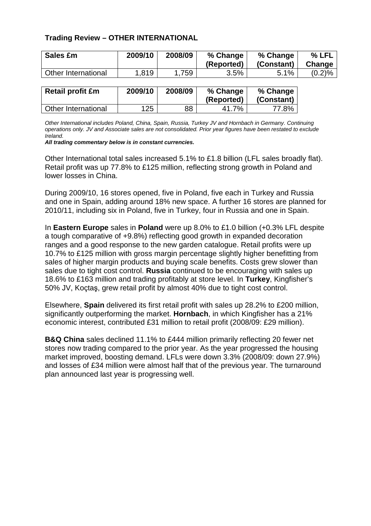## **Trading Review – OTHER INTERNATIONAL**

| <b>Sales £m</b>     | 2009/10 | 2008/09 | % Change<br>(Reported) | % Change<br>(Constant) | $\%$ LFL $_{\odot}$<br>Change |
|---------------------|---------|---------|------------------------|------------------------|-------------------------------|
| Other International | .819    | 759     | 3.5%                   | 5.1%                   | $(0.2)$ %                     |

| <b>Retail profit £m</b> | 2009/10 | 2008/09 | % Change<br>(Reported) | % Change<br>(Constant) |
|-------------------------|---------|---------|------------------------|------------------------|
| Other International     | 125     | 88      | 41.7%                  | 77.8%                  |

Other International includes Poland, China, Spain, Russia, Turkey JV and Hornbach in Germany. Continuing operations only. JV and Associate sales are not consolidated. Prior year figures have been restated to exclude Ireland.

**All trading commentary below is in constant currencies.** 

Other International total sales increased 5.1% to £1.8 billion (LFL sales broadly flat). Retail profit was up 77.8% to £125 million, reflecting strong growth in Poland and lower losses in China.

During 2009/10, 16 stores opened, five in Poland, five each in Turkey and Russia and one in Spain, adding around 18% new space. A further 16 stores are planned for 2010/11, including six in Poland, five in Turkey, four in Russia and one in Spain.

In **Eastern Europe** sales in **Poland** were up 8.0% to £1.0 billion (+0.3% LFL despite a tough comparative of +9.8%) reflecting good growth in expanded decoration ranges and a good response to the new garden catalogue. Retail profits were up 10.7% to £125 million with gross margin percentage slightly higher benefitting from sales of higher margin products and buying scale benefits. Costs grew slower than sales due to tight cost control. **Russia** continued to be encouraging with sales up 18.6% to £163 million and trading profitably at store level. In **Turkey**, Kingfisher's 50% JV, Koçtaş, grew retail profit by almost 40% due to tight cost control.

Elsewhere, **Spain** delivered its first retail profit with sales up 28.2% to £200 million, significantly outperforming the market. **Hornbach**, in which Kingfisher has a 21% economic interest, contributed £31 million to retail profit (2008/09: £29 million).

**B&Q China** sales declined 11.1% to £444 million primarily reflecting 20 fewer net stores now trading compared to the prior year. As the year progressed the housing market improved, boosting demand. LFLs were down 3.3% (2008/09: down 27.9%) and losses of £34 million were almost half that of the previous year. The turnaround plan announced last year is progressing well.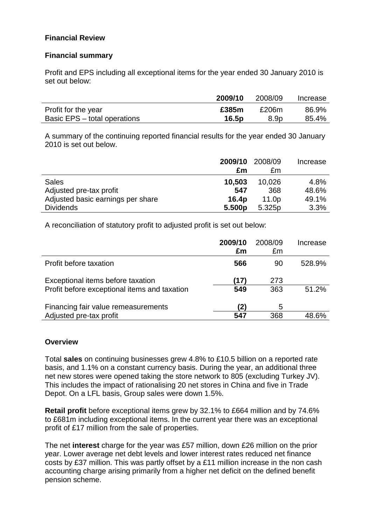## **Financial Review**

### **Financial summary**

Profit and EPS including all exceptional items for the year ended 30 January 2010 is set out below:

|                              | 2009/10 | 2008/09 | Increase |
|------------------------------|---------|---------|----------|
| Profit for the year          | £385m   | f206m   | 86.9%    |
| Basic EPS – total operations | 16.5p   | 8.9p    | 85.4%    |

A summary of the continuing reported financial results for the year ended 30 January 2010 is set out below.

|                                   | 2009/10<br>£m | 2008/09<br>£m     | Increase |
|-----------------------------------|---------------|-------------------|----------|
| <b>Sales</b>                      | 10,503        | 10.026            | 4.8%     |
| Adjusted pre-tax profit           | 547           | 368               | 48.6%    |
| Adjusted basic earnings per share | 16.4p         | 11.0 <sub>D</sub> | 49.1%    |
| <b>Dividends</b>                  | 5.500p        | 5.325p            | 3.3%     |

A reconciliation of statutory profit to adjusted profit is set out below:

|                                              | 2009/10<br>£m | 2008/09<br>£m | Increase |
|----------------------------------------------|---------------|---------------|----------|
| Profit before taxation                       | 566           | 90            | 528.9%   |
| Exceptional items before taxation            | (17)          | 273           | 51.2%    |
| Profit before exceptional items and taxation | 549           | 363           |          |
| Financing fair value remeasurements          | (2)           | 5             | 48.6%    |
| Adjusted pre-tax profit                      | 547           | 368           |          |

#### **Overview**

Total **sales** on continuing businesses grew 4.8% to £10.5 billion on a reported rate basis, and 1.1% on a constant currency basis. During the year, an additional three net new stores were opened taking the store network to 805 (excluding Turkey JV). This includes the impact of rationalising 20 net stores in China and five in Trade Depot. On a LFL basis, Group sales were down 1.5%.

**Retail profit** before exceptional items grew by 32.1% to £664 million and by 74.6% to £681m including exceptional items. In the current year there was an exceptional profit of £17 million from the sale of properties.

The net **interest** charge for the year was £57 million, down £26 million on the prior year. Lower average net debt levels and lower interest rates reduced net finance costs by £37 million. This was partly offset by a £11 million increase in the non cash accounting charge arising primarily from a higher net deficit on the defined benefit pension scheme.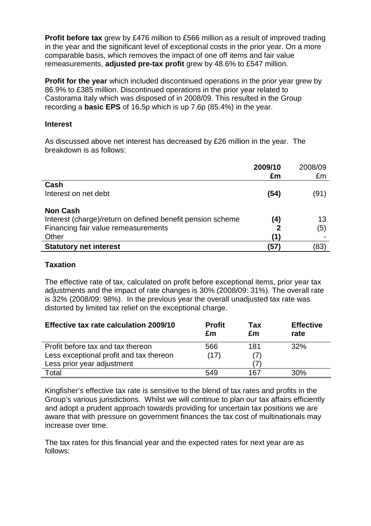**Profit before tax** grew by £476 million to £566 million as a result of improved trading in the year and the significant level of exceptional costs in the prior year. On a more comparable basis, which removes the impact of one off items and fair value remeasurements, **adjusted pre-tax profit** grew by 48.6% to £547 million.

**Profit for the year** which included discontinued operations in the prior year grew by 86.9% to £385 million. Discontinued operations in the prior year related to Castorama Italy which was disposed of in 2008/09. This resulted in the Group recording a **basic EPS** of 16.5p which is up 7.6p (85.4%) in the year.

### **Interest**

As discussed above net interest has decreased by £26 million in the year. The breakdown is as follows:

|                                                            | 2009/10<br>£m | 2008/09<br>£m |
|------------------------------------------------------------|---------------|---------------|
| Cash                                                       |               |               |
| Interest on net debt                                       | (54)          | (91)          |
| <b>Non Cash</b>                                            |               |               |
| Interest (charge)/return on defined benefit pension scheme | (4)           | 13            |
| Financing fair value remeasurements                        | 2             | (5)           |
| Other                                                      | (1)           |               |
| <b>Statutory net interest</b>                              | (57)          | (83)          |

## **Taxation**

The effective rate of tax, calculated on profit before exceptional items, prior year tax adjustments and the impact of rate changes is 30% (2008/09: 31%). The overall rate is 32% (2008/09: 98%). In the previous year the overall unadjusted tax rate was distorted by limited tax relief on the exceptional charge.

| <b>Effective tax rate calculation 2009/10</b> | <b>Profit</b><br>£m | Tax<br>£m | <b>Effective</b><br>rate |
|-----------------------------------------------|---------------------|-----------|--------------------------|
| Profit before tax and tax thereon             | 566                 | 181       | 32%                      |
| Less exceptional profit and tax thereon       | (17)                |           |                          |
| Less prior year adjustment                    |                     |           |                          |
| Total                                         | 549                 | 167       | 30%                      |

Kingfisher's effective tax rate is sensitive to the blend of tax rates and profits in the Group's various jurisdictions. Whilst we will continue to plan our tax affairs efficiently and adopt a prudent approach towards providing for uncertain tax positions we are aware that with pressure on government finances the tax cost of multinationals may increase over time.

The tax rates for this financial year and the expected rates for next year are as follows: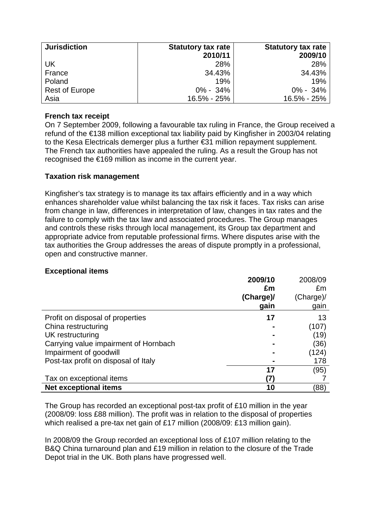| <b>Jurisdiction</b>   | <b>Statutory tax rate</b><br>2010/11 | <b>Statutory tax rate</b><br>2009/10 |
|-----------------------|--------------------------------------|--------------------------------------|
| UK                    | 28%                                  | 28%                                  |
| France                | 34.43%                               | 34.43%                               |
| Poland                | 19%                                  | 19%                                  |
| <b>Rest of Europe</b> | $0\% - 34\%$                         | $0\% - 34\%$                         |
| Asia                  | 16.5% - 25%                          | 16.5% - 25%                          |

#### **French tax receipt**

On 7 September 2009, following a favourable tax ruling in France, the Group received a refund of the €138 million exceptional tax liability paid by Kingfisher in 2003/04 relating to the Kesa Electricals demerger plus a further €31 million repayment supplement. The French tax authorities have appealed the ruling. As a result the Group has not recognised the €169 million as income in the current year.

#### **Taxation risk management**

Kingfisher's tax strategy is to manage its tax affairs efficiently and in a way which enhances shareholder value whilst balancing the tax risk it faces. Tax risks can arise from change in law, differences in interpretation of law, changes in tax rates and the failure to comply with the tax law and associated procedures. The Group manages and controls these risks through local management, its Group tax department and appropriate advice from reputable professional firms. Where disputes arise with the tax authorities the Group addresses the areas of dispute promptly in a professional, open and constructive manner.

### **Exceptional items**

|                                       | 2009/10   | 2008/09      |
|---------------------------------------|-----------|--------------|
|                                       | £m        | £m           |
|                                       | (Charge)/ | $(Change)$ / |
|                                       | gain      | gain         |
| Profit on disposal of properties      | 17        | 13           |
| China restructuring                   |           | (107)        |
| UK restructuring                      |           | (19)         |
| Carrying value impairment of Hornbach |           | (36)         |
| Impairment of goodwill                |           | (124)        |
| Post-tax profit on disposal of Italy  |           | 178          |
|                                       | 17        | (95)         |
| Tax on exceptional items              |           |              |
| <b>Net exceptional items</b>          | 10        | (88)         |

The Group has recorded an exceptional post-tax profit of £10 million in the year (2008/09: loss £88 million). The profit was in relation to the disposal of properties which realised a pre-tax net gain of £17 million (2008/09: £13 million gain).

In 2008/09 the Group recorded an exceptional loss of £107 million relating to the B&Q China turnaround plan and £19 million in relation to the closure of the Trade Depot trial in the UK. Both plans have progressed well.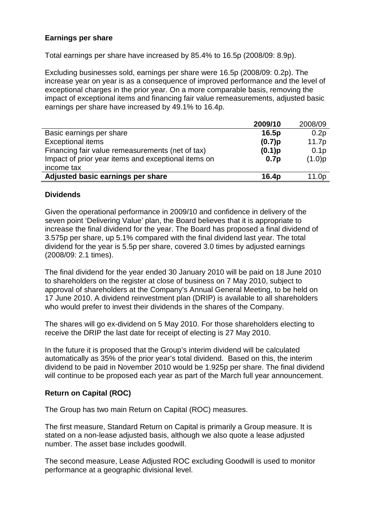## **Earnings per share**

Total earnings per share have increased by 85.4% to 16.5p (2008/09: 8.9p).

Excluding businesses sold, earnings per share were 16.5p (2008/09: 0.2p). The increase year on year is as a consequence of improved performance and the level of exceptional charges in the prior year. On a more comparable basis, removing the impact of exceptional items and financing fair value remeasurements, adjusted basic earnings per share have increased by 49.1% to 16.4p.

| 2009/10 | 2008/09          |
|---------|------------------|
| 16.5p   | 0.2p             |
| (0.7)p  | 11.7p            |
| (0.1)p  | 0.1 <sub>p</sub> |
| 0.7p    | (1.0)p           |
|         |                  |
| 16.4p   | 11.0p            |
|         |                  |

#### **Dividends**

Given the operational performance in 2009/10 and confidence in delivery of the seven point 'Delivering Value' plan, the Board believes that it is appropriate to increase the final dividend for the year. The Board has proposed a final dividend of 3.575p per share, up 5.1% compared with the final dividend last year. The total dividend for the year is 5.5p per share, covered 3.0 times by adjusted earnings (2008/09: 2.1 times).

The final dividend for the year ended 30 January 2010 will be paid on 18 June 2010 to shareholders on the register at close of business on 7 May 2010, subject to approval of shareholders at the Company's Annual General Meeting, to be held on 17 June 2010. A dividend reinvestment plan (DRIP) is available to all shareholders who would prefer to invest their dividends in the shares of the Company.

The shares will go ex-dividend on 5 May 2010. For those shareholders electing to receive the DRIP the last date for receipt of electing is 27 May 2010.

In the future it is proposed that the Group's interim dividend will be calculated automatically as 35% of the prior year's total dividend. Based on this, the interim dividend to be paid in November 2010 would be 1.925p per share. The final dividend will continue to be proposed each year as part of the March full year announcement.

### **Return on Capital (ROC)**

The Group has two main Return on Capital (ROC) measures.

The first measure, Standard Return on Capital is primarily a Group measure. It is stated on a non-lease adjusted basis, although we also quote a lease adjusted number. The asset base includes goodwill.

The second measure, Lease Adjusted ROC excluding Goodwill is used to monitor performance at a geographic divisional level.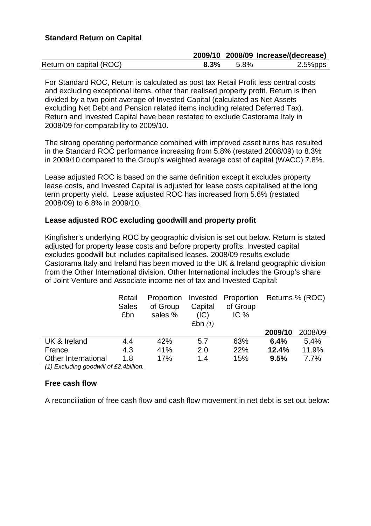## **Standard Return on Capital**

|                         |      |      | 2009/10 2008/09 Increase/(decrease) |
|-------------------------|------|------|-------------------------------------|
| Return on capital (ROC) | 8.3% | 5.8% | $2.5\%$ pps                         |

For Standard ROC, Return is calculated as post tax Retail Profit less central costs and excluding exceptional items, other than realised property profit. Return is then divided by a two point average of Invested Capital (calculated as Net Assets excluding Net Debt and Pension related items including related Deferred Tax). Return and Invested Capital have been restated to exclude Castorama Italy in 2008/09 for comparability to 2009/10.

The strong operating performance combined with improved asset turns has resulted in the Standard ROC performance increasing from 5.8% (restated 2008/09) to 8.3% in 2009/10 compared to the Group's weighted average cost of capital (WACC) 7.8%.

Lease adjusted ROC is based on the same definition except it excludes property lease costs, and Invested Capital is adjusted for lease costs capitalised at the long term property yield. Lease adjusted ROC has increased from 5.6% (restated 2008/09) to 6.8% in 2009/10.

#### **Lease adjusted ROC excluding goodwill and property profit**

Kingfisher's underlying ROC by geographic division is set out below. Return is stated adjusted for property lease costs and before property profits. Invested capital excludes goodwill but includes capitalised leases. 2008/09 results exclude Castorama Italy and Ireland has been moved to the UK & Ireland geographic division from the Other International division. Other International includes the Group's share of Joint Venture and Associate income net of tax and Invested Capital:

|                                                                                                                                                                                                                                                                                                                                                                                                                                                                                    | Retail<br><b>Sales</b><br>£bn | of Group<br>sales % | Capital<br>(IC)<br>£bn $(1)$ | Proportion Invested Proportion Returns % (ROC)<br>of Group<br>IC $%$ |         |         |
|------------------------------------------------------------------------------------------------------------------------------------------------------------------------------------------------------------------------------------------------------------------------------------------------------------------------------------------------------------------------------------------------------------------------------------------------------------------------------------|-------------------------------|---------------------|------------------------------|----------------------------------------------------------------------|---------|---------|
|                                                                                                                                                                                                                                                                                                                                                                                                                                                                                    |                               |                     |                              |                                                                      | 2009/10 | 2008/09 |
| UK & Ireland                                                                                                                                                                                                                                                                                                                                                                                                                                                                       | 4.4                           | 42%                 | 5.7                          | 63%                                                                  | 6.4%    | 5.4%    |
| France                                                                                                                                                                                                                                                                                                                                                                                                                                                                             | 4.3                           | 41%                 | 2.0                          | 22%                                                                  | 12.4%   | 11.9%   |
| Other International                                                                                                                                                                                                                                                                                                                                                                                                                                                                | 1.8                           | 17%                 | 1.4                          | 15%                                                                  | 9.5%    | 7.7%    |
| $\left(1\right)$ $\blacksquare$ $\blacksquare$ $\blacksquare$ $\blacksquare$ $\blacksquare$ $\blacksquare$ $\blacksquare$ $\blacksquare$ $\blacksquare$ $\blacksquare$ $\blacksquare$ $\blacksquare$ $\blacksquare$ $\blacksquare$ $\blacksquare$ $\blacksquare$ $\blacksquare$ $\blacksquare$ $\blacksquare$ $\blacksquare$ $\blacksquare$ $\blacksquare$ $\blacksquare$ $\blacksquare$ $\blacksquare$ $\blacksquare$ $\blacksquare$ $\blacksquare$ $\blacksquare$ $\blacksquare$ |                               |                     |                              |                                                                      |         |         |

(1) Excluding goodwill of £2.4billion.

### **Free cash flow**

A reconciliation of free cash flow and cash flow movement in net debt is set out below: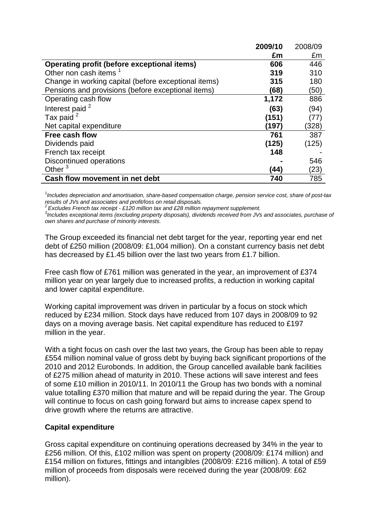|                                                      | 2009/10 | 2008/09 |
|------------------------------------------------------|---------|---------|
|                                                      | £m      | £m      |
| Operating profit (before exceptional items)          | 606     | 446     |
| Other non cash items <sup>1</sup>                    | 319     | 310     |
| Change in working capital (before exceptional items) | 315     | 180     |
| Pensions and provisions (before exceptional items)   | (68)    | (50)    |
| Operating cash flow                                  | 1,172   | 886     |
| Interest paid <sup>2</sup>                           | (63)    | (94)    |
| Tax paid $2$                                         | (151)   | (77)    |
| Net capital expenditure                              | (197)   | (328)   |
| Free cash flow                                       | 761     | 387     |
| Dividends paid                                       | (125)   | (125)   |
| French tax receipt                                   | 148     |         |
| <b>Discontinued operations</b>                       |         | 546     |
| Other <sup>3</sup>                                   | (44)    | (23)    |
| Cash flow movement in net debt                       | 740     | 785     |

<sup>1</sup>Includes depreciation and amortisation, share-based compensation charge, pension service cost, share of post-tax results of JVs and associates and profit/loss on retail disposals.

 $^2$  Excludes French tax receipt - £120 million tax and £28 million repayment supplement.

<sup>3</sup>Includes exceptional items (excluding property disposals), dividends received from JVs and associates, purchase of own shares and purchase of minority interests.

The Group exceeded its financial net debt target for the year, reporting year end net debt of £250 million (2008/09: £1,004 million). On a constant currency basis net debt has decreased by £1.45 billion over the last two years from £1.7 billion.

Free cash flow of £761 million was generated in the year, an improvement of £374 million year on year largely due to increased profits, a reduction in working capital and lower capital expenditure.

Working capital improvement was driven in particular by a focus on stock which reduced by £234 million. Stock days have reduced from 107 days in 2008/09 to 92 days on a moving average basis. Net capital expenditure has reduced to £197 million in the year.

With a tight focus on cash over the last two years, the Group has been able to repay £554 million nominal value of gross debt by buying back significant proportions of the 2010 and 2012 Eurobonds. In addition, the Group cancelled available bank facilities of £275 million ahead of maturity in 2010. These actions will save interest and fees of some £10 million in 2010/11. In 2010/11 the Group has two bonds with a nominal value totalling £370 million that mature and will be repaid during the year. The Group will continue to focus on cash going forward but aims to increase capex spend to drive growth where the returns are attractive.

### **Capital expenditure**

Gross capital expenditure on continuing operations decreased by 34% in the year to £256 million. Of this, £102 million was spent on property (2008/09: £174 million) and £154 million on fixtures, fittings and intangibles (2008/09: £216 million). A total of £59 million of proceeds from disposals were received during the year (2008/09: £62 million).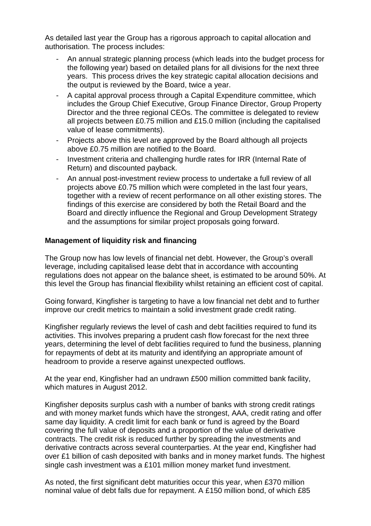As detailed last year the Group has a rigorous approach to capital allocation and authorisation. The process includes:

- An annual strategic planning process (which leads into the budget process for the following year) based on detailed plans for all divisions for the next three years. This process drives the key strategic capital allocation decisions and the output is reviewed by the Board, twice a year.
- A capital approval process through a Capital Expenditure committee, which includes the Group Chief Executive, Group Finance Director, Group Property Director and the three regional CEOs. The committee is delegated to review all projects between £0.75 million and £15.0 million (including the capitalised value of lease commitments).
- Projects above this level are approved by the Board although all projects above £0.75 million are notified to the Board.
- Investment criteria and challenging hurdle rates for IRR (Internal Rate of Return) and discounted payback.
- An annual post-investment review process to undertake a full review of all projects above £0.75 million which were completed in the last four years, together with a review of recent performance on all other existing stores. The findings of this exercise are considered by both the Retail Board and the Board and directly influence the Regional and Group Development Strategy and the assumptions for similar project proposals going forward.

### **Management of liquidity risk and financing**

The Group now has low levels of financial net debt. However, the Group's overall leverage, including capitalised lease debt that in accordance with accounting regulations does not appear on the balance sheet, is estimated to be around 50%. At this level the Group has financial flexibility whilst retaining an efficient cost of capital.

Going forward, Kingfisher is targeting to have a low financial net debt and to further improve our credit metrics to maintain a solid investment grade credit rating.

Kingfisher regularly reviews the level of cash and debt facilities required to fund its activities. This involves preparing a prudent cash flow forecast for the next three years, determining the level of debt facilities required to fund the business, planning for repayments of debt at its maturity and identifying an appropriate amount of headroom to provide a reserve against unexpected outflows.

At the year end, Kingfisher had an undrawn £500 million committed bank facility, which matures in August 2012.

Kingfisher deposits surplus cash with a number of banks with strong credit ratings and with money market funds which have the strongest, AAA, credit rating and offer same day liquidity. A credit limit for each bank or fund is agreed by the Board covering the full value of deposits and a proportion of the value of derivative contracts. The credit risk is reduced further by spreading the investments and derivative contracts across several counterparties. At the year end, Kingfisher had over £1 billion of cash deposited with banks and in money market funds. The highest single cash investment was a £101 million money market fund investment.

As noted, the first significant debt maturities occur this year, when £370 million nominal value of debt falls due for repayment. A £150 million bond, of which £85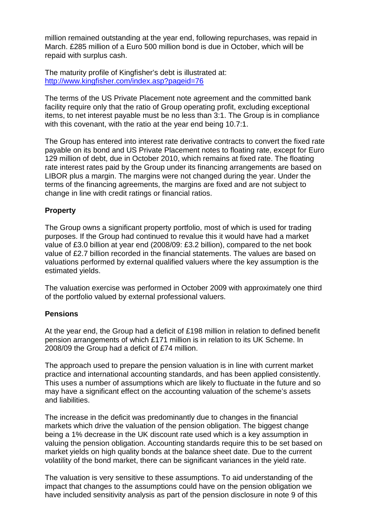million remained outstanding at the year end, following repurchases, was repaid in March. £285 million of a Euro 500 million bond is due in October, which will be repaid with surplus cash.

The maturity profile of Kingfisher's debt is illustrated at: http://www.kingfisher.com/index.asp?pageid=76

The terms of the US Private Placement note agreement and the committed bank facility require only that the ratio of Group operating profit, excluding exceptional items, to net interest payable must be no less than 3:1. The Group is in compliance with this covenant, with the ratio at the year end being 10.7:1.

The Group has entered into interest rate derivative contracts to convert the fixed rate payable on its bond and US Private Placement notes to floating rate, except for Euro 129 million of debt, due in October 2010, which remains at fixed rate. The floating rate interest rates paid by the Group under its financing arrangements are based on LIBOR plus a margin. The margins were not changed during the year. Under the terms of the financing agreements, the margins are fixed and are not subject to change in line with credit ratings or financial ratios.

# **Property**

The Group owns a significant property portfolio, most of which is used for trading purposes. If the Group had continued to revalue this it would have had a market value of £3.0 billion at year end (2008/09: £3.2 billion), compared to the net book value of £2.7 billion recorded in the financial statements. The values are based on valuations performed by external qualified valuers where the key assumption is the estimated yields.

The valuation exercise was performed in October 2009 with approximately one third of the portfolio valued by external professional valuers.

### **Pensions**

At the year end, the Group had a deficit of £198 million in relation to defined benefit pension arrangements of which £171 million is in relation to its UK Scheme. In 2008/09 the Group had a deficit of £74 million.

The approach used to prepare the pension valuation is in line with current market practice and international accounting standards, and has been applied consistently. This uses a number of assumptions which are likely to fluctuate in the future and so may have a significant effect on the accounting valuation of the scheme's assets and liabilities.

The increase in the deficit was predominantly due to changes in the financial markets which drive the valuation of the pension obligation. The biggest change being a 1% decrease in the UK discount rate used which is a key assumption in valuing the pension obligation. Accounting standards require this to be set based on market yields on high quality bonds at the balance sheet date. Due to the current volatility of the bond market, there can be significant variances in the yield rate.

The valuation is very sensitive to these assumptions. To aid understanding of the impact that changes to the assumptions could have on the pension obligation we have included sensitivity analysis as part of the pension disclosure in note 9 of this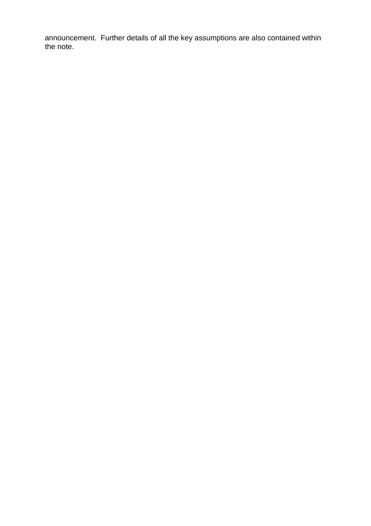announcement. Further details of all the key assumptions are also contained within the note.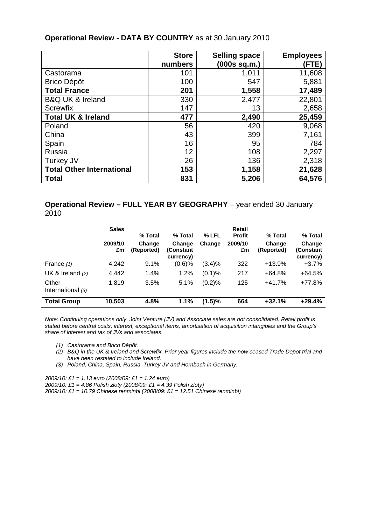|                                  | <b>Store</b> | <b>Selling space</b> | <b>Employees</b> |
|----------------------------------|--------------|----------------------|------------------|
|                                  | numbers      | (000s sq.m.)         | (FTE)            |
| Castorama                        | 101          | 1,011                | 11,608           |
| <b>Brico Dépôt</b>               | 100          | 547                  | 5,881            |
| <b>Total France</b>              | 201          | 1,558                | 17,489           |
| <b>B&amp;Q UK &amp; Ireland</b>  | 330          | 2,477                | 22,801           |
| <b>Screwfix</b>                  | 147          | 13                   | 2,658            |
| <b>Total UK &amp; Ireland</b>    | 477          | 2,490                | 25,459           |
| Poland                           | 56           | 420                  | 9,068            |
| China                            | 43           | 399                  | 7,161            |
| Spain                            | 16           | 95                   | 784              |
| Russia                           | 12           | 108                  | 2,297            |
| Turkey JV                        | 26           | 136                  | 2,318            |
| <b>Total Other International</b> | 153          | 1,158                | 21,628           |
| <b>Total</b>                     | 831          | 5,206                | 64,576           |

### **Operational Review - DATA BY COUNTRY** as at 30 January 2010

## **Operational Review - FULL YEAR BY GEOGRAPHY** - year ended 30 January 2010

|                            | <b>Sales</b>  |                      |                     |           | <b>Retail</b> |                      |                     |
|----------------------------|---------------|----------------------|---------------------|-----------|---------------|----------------------|---------------------|
|                            |               | % Total              | % Total             | % LFL     | <b>Profit</b> | % Total              | % Total             |
|                            | 2009/10<br>£m | Change<br>(Reported) | Change<br>(Constant | Change    | 2009/10<br>£m | Change<br>(Reported) | Change<br>(Constant |
|                            |               |                      | currency)           |           |               |                      | currency)           |
| France $(1)$               | 4,242         | 9.1%                 | $(0.6)$ %           | $(3.4)\%$ | 322           | $+13.9%$             | $+3.7%$             |
| UK & Ireland $(2)$         | 4,442         | 1.4%                 | 1.2%                | (0.1)%    | 217           | $+64.8%$             | $+64.5%$            |
| Other<br>International (3) | 1.819         | 3.5%                 | 5.1%                | (0.2)%    | 125           | $+41.7%$             | $+77.8%$            |
| <b>Total Group</b>         | 10,503        | 4.8%                 | 1.1%                | (1.5)%    | 664           | $+32.1%$             | $+29.4%$            |

Note: Continuing operations only. Joint Venture (JV) and Associate sales are not consolidated. Retail profit is stated before central costs, interest, exceptional items, amortisation of acquisition intangibles and the Group's share of interest and tax of JVs and associates.

(1) Castorama and Brico Dépôt.

- $(2)$  B&Q in the UK & Ireland and Screwfix. Prior year figures include the now ceased Trade Depot trial and have been restated to include Ireland.
- (3) Poland, China, Spain, Russia, Turkey JV and Hornbach in Germany.

2009/10: £1 = 1.13 euro (2008/09: £1 = 1.24 euro)

2009/10: £1 = 4.86 Polish zloty (2008/09: £1 = 4.39 Polish zloty)

2009/10: £1 = 10.79 Chinese renminbi (2008/09: £1 = 12.51 Chinese renminbi)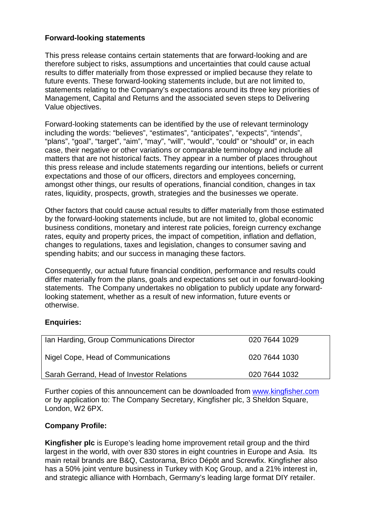## **Forward-looking statements**

This press release contains certain statements that are forward-looking and are therefore subject to risks, assumptions and uncertainties that could cause actual results to differ materially from those expressed or implied because they relate to future events. These forward-looking statements include, but are not limited to, statements relating to the Company's expectations around its three key priorities of Management, Capital and Returns and the associated seven steps to Delivering Value objectives.

Forward-looking statements can be identified by the use of relevant terminology including the words: "believes", "estimates", "anticipates", "expects", "intends", "plans", "goal", "target", "aim", "may", "will", "would", "could" or "should" or, in each case, their negative or other variations or comparable terminology and include all matters that are not historical facts. They appear in a number of places throughout this press release and include statements regarding our intentions, beliefs or current expectations and those of our officers, directors and employees concerning, amongst other things, our results of operations, financial condition, changes in tax rates, liquidity, prospects, growth, strategies and the businesses we operate.

Other factors that could cause actual results to differ materially from those estimated by the forward-looking statements include, but are not limited to, global economic business conditions, monetary and interest rate policies, foreign currency exchange rates, equity and property prices, the impact of competition, inflation and deflation, changes to regulations, taxes and legislation, changes to consumer saving and spending habits; and our success in managing these factors.

Consequently, our actual future financial condition, performance and results could differ materially from the plans, goals and expectations set out in our forward-looking statements. The Company undertakes no obligation to publicly update any forwardlooking statement, whether as a result of new information, future events or otherwise.

# **Enquiries:**

| Ian Harding, Group Communications Director | 020 7644 1029 |
|--------------------------------------------|---------------|
| Nigel Cope, Head of Communications         | 020 7644 1030 |
| Sarah Gerrand, Head of Investor Relations  | 020 7644 1032 |

Further copies of this announcement can be downloaded from www.kingfisher.com or by application to: The Company Secretary, Kingfisher plc, 3 Sheldon Square, London, W2 6PX.

### **Company Profile:**

**Kingfisher plc** is Europe's leading home improvement retail group and the third largest in the world, with over 830 stores in eight countries in Europe and Asia. Its main retail brands are B&Q, Castorama, Brico Dépôt and Screwfix. Kingfisher also has a 50% joint venture business in Turkey with Koç Group, and a 21% interest in, and strategic alliance with Hornbach, Germany's leading large format DIY retailer.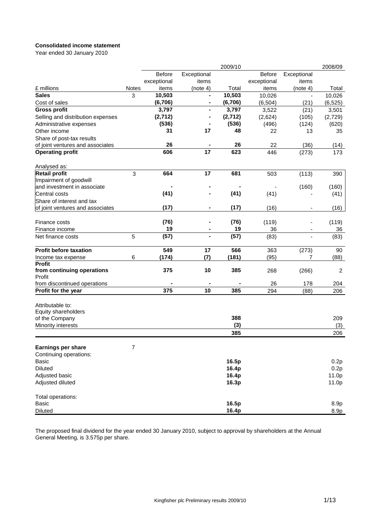#### **Consolidated income statement**

Year ended 30 January 2010

|                                             |              |             |             | 2009/10  |             |                          | 2008/09  |
|---------------------------------------------|--------------|-------------|-------------|----------|-------------|--------------------------|----------|
|                                             |              | Before      | Exceptional |          | Before      | Exceptional              |          |
|                                             |              | exceptional | items       |          | exceptional | items                    |          |
| £ millions                                  | <b>Notes</b> | items       | (note 4)    | Total    | items       | (note 4)                 | Total    |
| <b>Sales</b>                                | 3            | 10,503      | -           | 10,503   | 10,026      | $\overline{\phantom{a}}$ | 10,026   |
| Cost of sales                               |              | (6, 706)    |             | (6,706)  | (6, 504)    | (21)                     | (6, 525) |
| <b>Gross profit</b>                         |              | 3,797       |             | 3,797    | 3,522       | (21)                     | 3,501    |
| Selling and distribution expenses           |              | (2,712)     |             | (2, 712) | (2,624)     | (105)                    | (2,729)  |
| Administrative expenses                     |              | (536)       |             | (536)    | (496)       | (124)                    | (620)    |
| Other income                                |              | 31          | 17          | 48       | 22          | 13                       | 35       |
| Share of post-tax results                   |              |             |             |          |             |                          |          |
| of joint ventures and associates            |              | 26          |             | 26       | 22          | (36)                     | (14)     |
| <b>Operating profit</b>                     |              | 606         | 17          | 623      | 446         | (273)                    | 173      |
| Analysed as:                                |              |             |             |          |             |                          |          |
| <b>Retail profit</b>                        | 3            | 664         | 17          | 681      | 503         | (113)                    | 390      |
| Impairment of goodwill                      |              |             |             |          |             |                          |          |
| and investment in associate                 |              |             |             |          |             | (160)                    | (160)    |
| Central costs                               |              | (41)        |             | (41)     | (41)        |                          | (41)     |
| Share of interest and tax                   |              |             |             |          |             |                          |          |
| of joint ventures and associates            |              | (17)        |             | (17)     | (16)        |                          | (16)     |
| Finance costs                               |              | (76)        |             | (76)     | (119)       |                          | (119)    |
| Finance income                              |              | 19          |             | 19       | 36          |                          | 36       |
| Net finance costs                           | 5            | (57)        |             | (57)     | (83)        |                          | (83)     |
| <b>Profit before taxation</b>               |              | 549         | 17          | 566      | 363         | (273)                    | 90       |
| Income tax expense                          | 6            | (174)       | (7)         | (181)    | (95)        | 7                        | (88)     |
| <b>Profit</b><br>from continuing operations |              | 375         | 10          | 385      | 268         | (266)                    | 2        |
| Profit                                      |              |             |             |          |             |                          |          |
| from discontinued operations                |              |             |             |          | 26          | 178                      | 204      |
| Profit for the year                         |              | 375         | 10          | 385      | 294         | (88)                     | 206      |
| Attributable to:                            |              |             |             |          |             |                          |          |
| Equity shareholders<br>of the Company       |              |             |             | 388      |             |                          | 209      |
| Minority interests                          |              |             |             | (3)      |             |                          | (3)      |
|                                             |              |             |             | 385      |             |                          | 206      |
|                                             |              |             |             |          |             |                          |          |
| Earnings per share                          | 7            |             |             |          |             |                          |          |
| Continuing operations:                      |              |             |             |          |             |                          |          |
| <b>Basic</b>                                |              |             |             | 16.5p    |             |                          | 0.2p     |
| <b>Diluted</b>                              |              |             |             | 16.4p    |             |                          | 0.2p     |
| Adjusted basic                              |              |             |             | 16.4p    |             |                          | 11.0p    |
| Adjusted diluted                            |              |             |             | 16.3p    |             |                          | 11.0p    |
| Total operations:                           |              |             |             |          |             |                          |          |
| <b>Basic</b>                                |              |             |             | 16.5p    |             |                          | 8.9p     |
| <b>Diluted</b>                              |              |             |             | 16.4p    |             |                          | 8.9p     |

The proposed final dividend for the year ended 30 January 2010, subject to approval by shareholders at the Annual General Meeting, is 3.575p per share.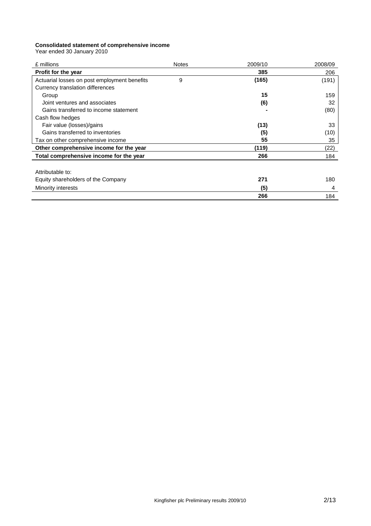#### **Consolidated statement of comprehensive income**

Year ended 30 January 2010

| £ millions                                   | <b>Notes</b> | 2009/10 | 2008/09 |
|----------------------------------------------|--------------|---------|---------|
| Profit for the year                          |              | 385     | 206     |
| Actuarial losses on post employment benefits | 9            | (165)   | (191)   |
| Currency translation differences             |              |         |         |
| Group                                        |              | 15      | 159     |
| Joint ventures and associates                |              | (6)     | 32      |
| Gains transferred to income statement        |              |         | (80)    |
| Cash flow hedges                             |              |         |         |
| Fair value (losses)/gains                    |              | (13)    | 33      |
| Gains transferred to inventories             |              | (5)     | (10)    |
| Tax on other comprehensive income            |              | 55      | 35      |
| Other comprehensive income for the year      |              | (119)   | (22)    |
| Total comprehensive income for the year      |              | 266     | 184     |
| Attributable to:                             |              |         |         |
| Equity shareholders of the Company           |              | 271     | 180     |
| Minority interests                           |              | (5)     | 4       |
|                                              |              | 266     | 184     |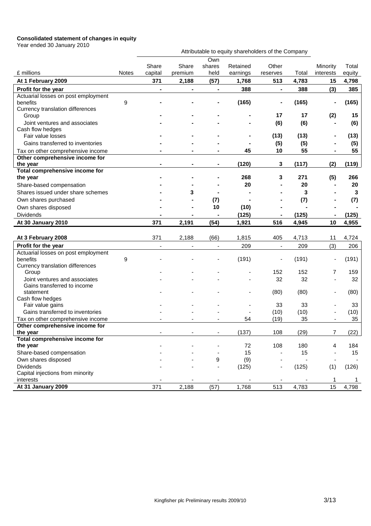#### **Consolidated statement of changes in equity**

Year ended 30 January 2010

| Criddo ou dariaary Lord                                      |       | Attributable to equity shareholders of the Company |                |                          |          |                          |                |                |        |
|--------------------------------------------------------------|-------|----------------------------------------------------|----------------|--------------------------|----------|--------------------------|----------------|----------------|--------|
|                                                              |       |                                                    |                | Own                      |          |                          |                |                |        |
|                                                              |       | Share                                              | Share          | shares                   | Retained | Other                    |                | Minority       | Total  |
| £ millions                                                   | Notes | capital                                            | premium        | held                     | earnings | reserves                 | Total          | interests      | equity |
| At 1 February 2009                                           |       | 371                                                | 2,188          | (57)                     | 1,768    | 513                      | 4,783          | 15             | 4,798  |
| Profit for the year                                          |       | $\blacksquare$                                     | $\blacksquare$ | $\blacksquare$           | 388      | $\blacksquare$           | 388            | (3)            | 385    |
| Actuarial losses on post employment                          |       |                                                    |                |                          | (165)    |                          | (165)          |                | (165)  |
| benefits<br>Currency translation differences                 | 9     |                                                    |                |                          |          |                          |                |                |        |
| Group                                                        |       |                                                    |                |                          |          | 17                       | 17             | (2)            | 15     |
| Joint ventures and associates                                |       |                                                    |                |                          |          | (6)                      | (6)            | $\blacksquare$ | (6)    |
| Cash flow hedges                                             |       |                                                    |                |                          |          |                          |                |                |        |
| Fair value losses                                            |       |                                                    |                |                          |          | (13)                     | (13)           |                | (13)   |
| Gains transferred to inventories                             |       |                                                    |                |                          |          | (5)                      | (5)            |                | (5)    |
| Tax on other comprehensive income                            |       |                                                    |                |                          | 45       | 10                       | 55             |                | 55     |
| Other comprehensive income for                               |       |                                                    |                |                          |          |                          |                |                |        |
| the year                                                     |       |                                                    |                | ۰                        | (120)    | 3                        | (117)          | (2)            | (119)  |
| Total comprehensive income for                               |       |                                                    |                |                          |          |                          |                |                |        |
| the year                                                     |       |                                                    |                |                          | 268      | 3                        | 271            | (5)            | 266    |
| Share-based compensation                                     |       |                                                    |                |                          | 20       |                          | 20             |                | 20     |
| Shares issued under share schemes                            |       |                                                    | 3              |                          |          |                          | 3              |                | 3      |
| Own shares purchased                                         |       |                                                    |                | (7)                      |          |                          | (7)            |                | (7)    |
| Own shares disposed                                          |       |                                                    |                | 10                       | (10)     |                          |                |                |        |
| <b>Dividends</b>                                             |       |                                                    |                |                          | (125)    |                          | (125)          |                | (125)  |
| At 30 January 2010                                           |       | 371                                                | 2,191          | (54)                     | 1,921    | 516                      | 4,945          | 10             | 4,955  |
|                                                              |       |                                                    |                |                          |          |                          |                |                |        |
| At 3 February 2008                                           |       | 371                                                | 2,188          | (66)                     | 1,815    | 405                      | 4,713          | 11             | 4,724  |
| Profit for the year                                          |       |                                                    |                | $\overline{\phantom{a}}$ | 209      | $\overline{\phantom{a}}$ | 209            | (3)            | 206    |
| Actuarial losses on post employment                          |       |                                                    |                |                          |          |                          |                |                |        |
| benefits                                                     | 9     |                                                    |                |                          | (191)    |                          | (191)          |                | (191)  |
| Currency translation differences                             |       |                                                    |                |                          |          |                          |                |                |        |
| Group                                                        |       |                                                    |                |                          |          | 152<br>32                | 152<br>32      | 7              | 159    |
| Joint ventures and associates<br>Gains transferred to income |       |                                                    |                |                          |          |                          |                |                | 32     |
| statement                                                    |       |                                                    |                |                          |          | (80)                     | (80)           |                | (80)   |
| Cash flow hedges                                             |       |                                                    |                |                          |          |                          |                |                |        |
| Fair value gains                                             |       |                                                    |                |                          |          | 33                       | 33             |                | 33     |
| Gains transferred to inventories                             |       |                                                    |                |                          |          | (10)                     | (10)           |                | (10)   |
| Tax on other comprehensive income                            |       |                                                    |                |                          | 54       | (19)                     | 35             |                | 35     |
| Other comprehensive income for                               |       |                                                    |                |                          |          |                          |                |                |        |
| the year                                                     |       |                                                    |                | ۰.                       | (137)    | 108                      | (29)           | 7              | (22)   |
| Total comprehensive income for                               |       |                                                    |                |                          |          |                          |                |                |        |
| the year                                                     |       |                                                    |                |                          | 72       | 108                      | 180            | 4              | 184    |
| Share-based compensation                                     |       |                                                    |                |                          | 15       |                          | 15             |                | 15     |
| Own shares disposed                                          |       |                                                    |                | 9                        | (9)      |                          | $\blacksquare$ |                |        |
| <b>Dividends</b><br>Capital injections from minority         |       |                                                    |                |                          | (125)    |                          | (125)          | (1)            | (126)  |
| interests                                                    |       |                                                    |                |                          |          |                          |                |                | 1      |
| At 31 January 2009                                           |       | 371                                                | 2,188          | (57)                     | 1,768    | 513                      | 4,783          | 15             | 4,798  |
|                                                              |       |                                                    |                |                          |          |                          |                |                |        |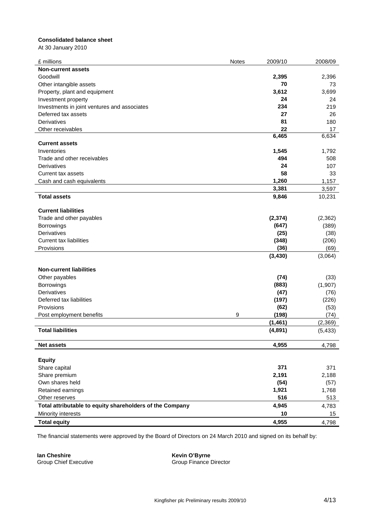#### **Consolidated balance sheet**

At 30 January 2010

| £ millions                                               | <b>Notes</b> | 2009/10  | 2008/09  |
|----------------------------------------------------------|--------------|----------|----------|
| <b>Non-current assets</b>                                |              |          |          |
| Goodwill                                                 |              | 2,395    | 2,396    |
| Other intangible assets                                  |              | 70       | 73       |
| Property, plant and equipment                            |              | 3,612    | 3,699    |
| Investment property                                      |              | 24       | 24       |
| Investments in joint ventures and associates             |              | 234      | 219      |
| Deferred tax assets                                      |              | 27       | 26       |
| Derivatives                                              |              | 81       | 180      |
| Other receivables                                        |              | 22       | 17       |
|                                                          |              | 6,465    | 6,634    |
| <b>Current assets</b>                                    |              |          |          |
| Inventories                                              |              | 1,545    | 1,792    |
| Trade and other receivables                              |              | 494      | 508      |
| Derivatives                                              |              | 24       | 107      |
| <b>Current tax assets</b>                                |              | 58       | 33       |
| Cash and cash equivalents                                |              | 1,260    | 1,157    |
|                                                          |              | 3,381    | 3,597    |
| <b>Total assets</b>                                      |              | 9,846    | 10,231   |
|                                                          |              |          |          |
| <b>Current liabilities</b>                               |              |          |          |
| Trade and other payables                                 |              | (2, 374) | (2, 362) |
| Borrowings                                               |              | (647)    | (389)    |
| <b>Derivatives</b>                                       |              | (25)     | (38)     |
| <b>Current tax liabilities</b>                           |              | (348)    | (206)    |
| Provisions                                               |              | (36)     | (69)     |
|                                                          |              | (3, 430) | (3,064)  |
|                                                          |              |          |          |
| <b>Non-current liabilities</b>                           |              |          |          |
| Other payables                                           |              | (74)     | (33)     |
| Borrowings                                               |              | (883)    | (1, 907) |
| Derivatives                                              |              | (47)     | (76)     |
| Deferred tax liabilities                                 |              | (197)    | (226)    |
| Provisions                                               |              | (62)     | (53)     |
| Post employment benefits                                 | 9            | (198)    | (74)     |
|                                                          |              | (1, 461) | (2, 369) |
| <b>Total liabilities</b>                                 |              | (4,891)  | (5, 433) |
|                                                          |              |          |          |
| <b>Net assets</b>                                        |              | 4,955    | 4,798    |
|                                                          |              |          |          |
| <b>Equity</b>                                            |              |          |          |
| Share capital                                            |              | 371      | 371      |
| Share premium                                            |              | 2,191    | 2,188    |
| Own shares held                                          |              | (54)     | (57)     |
| Retained earnings                                        |              | 1,921    | 1,768    |
| Other reserves                                           |              | 516      | 513      |
| Total attributable to equity shareholders of the Company |              | 4,945    | 4,783    |
| Minority interests                                       |              | 10       | 15       |
| <b>Total equity</b>                                      |              | 4,955    | 4,798    |
|                                                          |              |          |          |

The financial statements were approved by the Board of Directors on 24 March 2010 and signed on its behalf by:

**Ian Cheshire**<br>
Group Chief Executive<br>
Group Finance I

Group Finance Director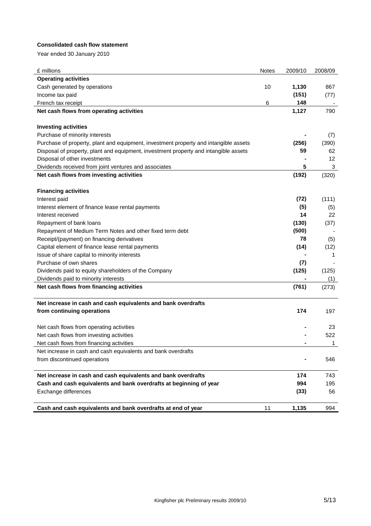#### **Consolidated cash flow statement**

Year ended 30 January 2010

| £ millions                                                                           | Notes | 2009/10 | 2008/09 |
|--------------------------------------------------------------------------------------|-------|---------|---------|
| <b>Operating activities</b>                                                          |       |         |         |
| Cash generated by operations                                                         | 10    | 1,130   | 867     |
| Income tax paid                                                                      |       | (151)   | (77)    |
| French tax receipt                                                                   | 6     | 148     |         |
| Net cash flows from operating activities                                             |       | 1,127   | 790     |
|                                                                                      |       |         |         |
| <b>Investing activities</b>                                                          |       |         |         |
| Purchase of minority interests                                                       |       |         | (7)     |
| Purchase of property, plant and equipment, investment property and intangible assets |       | (256)   | (390)   |
| Disposal of property, plant and equipment, investment property and intangible assets |       | 59      | 62      |
| Disposal of other investments                                                        |       |         | 12      |
| Dividends received from joint ventures and associates                                |       | 5       | 3       |
| Net cash flows from investing activities                                             |       | (192)   | (320)   |
| <b>Financing activities</b>                                                          |       |         |         |
| Interest paid                                                                        |       | (72)    | (111)   |
| Interest element of finance lease rental payments                                    |       | (5)     | (5)     |
| Interest received                                                                    |       | 14      | 22      |
| Repayment of bank loans                                                              |       | (130)   | (37)    |
| Repayment of Medium Term Notes and other fixed term debt                             |       | (500)   |         |
| Receipt/(payment) on financing derivatives                                           |       | 78      | (5)     |
| Capital element of finance lease rental payments                                     |       | (14)    | (12)    |
| Issue of share capital to minority interests                                         |       |         | 1       |
| Purchase of own shares                                                               |       | (7)     |         |
| Dividends paid to equity shareholders of the Company                                 |       | (125)   | (125)   |
| Dividends paid to minority interests                                                 |       |         | (1)     |
| Net cash flows from financing activities                                             |       | (761)   | (273)   |
|                                                                                      |       |         |         |
| Net increase in cash and cash equivalents and bank overdrafts                        |       |         |         |
| from continuing operations                                                           |       | 174     | 197     |
| Net cash flows from operating activities                                             |       |         | 23      |
| Net cash flows from investing activities                                             |       |         | 522     |
| Net cash flows from financing activities                                             |       |         | 1       |
| Net increase in cash and cash equivalents and bank overdrafts                        |       |         |         |
| from discontinued operations                                                         |       |         | 546     |
|                                                                                      |       |         |         |
| Net increase in cash and cash equivalents and bank overdrafts                        |       | 174     | 743     |
| Cash and cash equivalents and bank overdrafts at beginning of year                   |       | 994     | 195     |
| Exchange differences                                                                 |       | (33)    | 56      |
|                                                                                      |       |         |         |
| Cash and cash equivalents and bank overdrafts at end of year                         | 11    | 1,135   | 994     |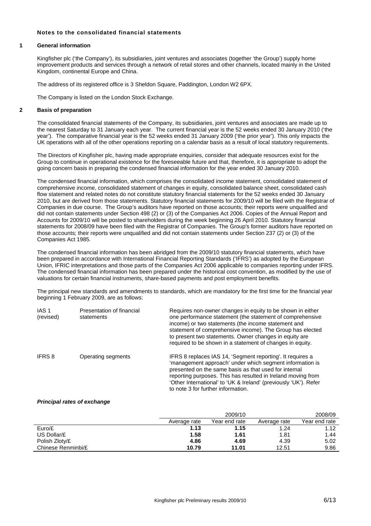#### **Notes to the consolidated financial statements**

#### **1 General information**

Kingfisher plc ('the Company'), its subsidiaries, joint ventures and associates (together 'the Group') supply home improvement products and services through a network of retail stores and other channels, located mainly in the United Kingdom, continental Europe and China.

The address of its registered office is 3 Sheldon Square, Paddington, London W2 6PX.

The Company is listed on the London Stock Exchange.

#### **2 Basis of preparation**

The consolidated financial statements of the Company, its subsidiaries, joint ventures and associates are made up to the nearest Saturday to 31 January each year. The current financial year is the 52 weeks ended 30 January 2010 ('the year'). The comparative financial year is the 52 weeks ended 31 January 2009 ('the prior year'). This only impacts the UK operations with all of the other operations reporting on a calendar basis as a result of local statutory requirements.

The Directors of Kingfisher plc, having made appropriate enquiries, consider that adequate resources exist for the Group to continue in operational existence for the foreseeable future and that, therefore, it is appropriate to adopt the going concern basis in preparing the condensed financial information for the year ended 30 January 2010.

The condensed financial information, which comprises the consolidated income statement, consolidated statement of comprehensive income, consolidated statement of changes in equity, consolidated balance sheet, consolidated cash flow statement and related notes do not constitute statutory financial statements for the 52 weeks ended 30 January 2010, but are derived from those statements. Statutory financial statements for 2009/10 will be filed with the Registrar of Companies in due course. The Group's auditors have reported on those accounts; their reports were unqualified and did not contain statements under Section 498 (2) or (3) of the Companies Act 2006. Copies of the Annual Report and Accounts for 2009/10 will be posted to shareholders during the week beginning 26 April 2010. Statutory financial statements for 2008/09 have been filed with the Registrar of Companies. The Group's former auditors have reported on those accounts; their reports were unqualified and did not contain statements under Section 237 (2) or (3) of the Companies Act 1985.

The condensed financial information has been abridged from the 2009/10 statutory financial statements, which have been prepared in accordance with International Financial Reporting Standards ('IFRS') as adopted by the European Union, IFRIC interpretations and those parts of the Companies Act 2006 applicable to companies reporting under IFRS. The condensed financial information has been prepared under the historical cost convention, as modified by the use of valuations for certain financial instruments, share-based payments and post employment benefits.

The principal new standards and amendments to standards, which are mandatory for the first time for the financial year beginning 1 February 2009, are as follows:

| IAS <sub>1</sub><br>(revised) | Presentation of financial<br>statements | Requires non-owner changes in equity to be shown in either<br>one performance statement (the statement of comprehensive<br>income) or two statements (the income statement and<br>statement of comprehensive income). The Group has elected<br>to present two statements. Owner changes in equity are<br>required to be shown in a statement of changes in equity. |
|-------------------------------|-----------------------------------------|--------------------------------------------------------------------------------------------------------------------------------------------------------------------------------------------------------------------------------------------------------------------------------------------------------------------------------------------------------------------|
| <b>IFRS 8</b>                 | Operating segments                      | IFRS 8 replaces IAS 14, 'Segment reporting'. It requires a<br>'management approach' under which segment information is<br>presented on the same basis as that used for internal<br>reporting purposes. This has resulted in Ireland moving from<br>'Other International' to 'UK & Ireland' (previously 'UK'). Refer<br>to note 3 for further information.          |

#### **Principal rates of exchange**

|                    |              | 2009/10       |              | 2008/09       |
|--------------------|--------------|---------------|--------------|---------------|
|                    | Average rate | Year end rate | Average rate | Year end rate |
| Euro/E             | 1.13         | 1.15          | 1.24         | 1.12          |
| US Dollar/£        | 1.58         | 1.61          | 1.81         | 1.44          |
| Polish Zloty/£     | 4.86         | 4.69          | 4.39         | 5.02          |
| Chinese Renminbi/£ | 10.79        | 11.01         | 12.51        | 9.86          |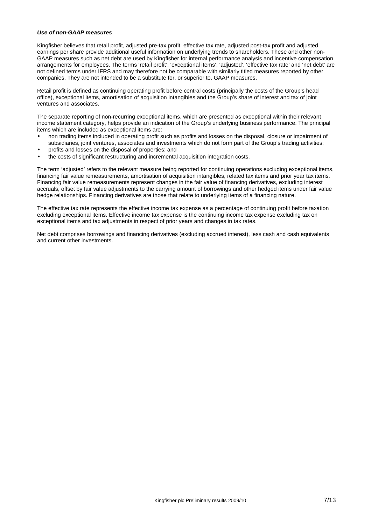#### **Use of non-GAAP measures**

Kingfisher believes that retail profit, adjusted pre-tax profit, effective tax rate, adjusted post-tax profit and adjusted earnings per share provide additional useful information on underlying trends to shareholders. These and other non-GAAP measures such as net debt are used by Kingfisher for internal performance analysis and incentive compensation arrangements for employees. The terms 'retail profit', 'exceptional items', 'adjusted', 'effective tax rate' and 'net debt' are not defined terms under IFRS and may therefore not be comparable with similarly titled measures reported by other companies. They are not intended to be a substitute for, or superior to, GAAP measures.

Retail profit is defined as continuing operating profit before central costs (principally the costs of the Group's head office), exceptional items, amortisation of acquisition intangibles and the Group's share of interest and tax of joint ventures and associates.

The separate reporting of non-recurring exceptional items, which are presented as exceptional within their relevant income statement category, helps provide an indication of the Group's underlying business performance. The principal items which are included as exceptional items are:

- non trading items included in operating profit such as profits and losses on the disposal, closure or impairment of subsidiaries, joint ventures, associates and investments which do not form part of the Group's trading activities;
- profits and losses on the disposal of properties; and
- the costs of significant restructuring and incremental acquisition integration costs.

The term 'adjusted' refers to the relevant measure being reported for continuing operations excluding exceptional items, financing fair value remeasurements, amortisation of acquisition intangibles, related tax items and prior year tax items. Financing fair value remeasurements represent changes in the fair value of financing derivatives, excluding interest accruals, offset by fair value adjustments to the carrying amount of borrowings and other hedged items under fair value hedge relationships. Financing derivatives are those that relate to underlying items of a financing nature.

The effective tax rate represents the effective income tax expense as a percentage of continuing profit before taxation excluding exceptional items. Effective income tax expense is the continuing income tax expense excluding tax on exceptional items and tax adjustments in respect of prior years and changes in tax rates.

Net debt comprises borrowings and financing derivatives (excluding accrued interest), less cash and cash equivalents and current other investments.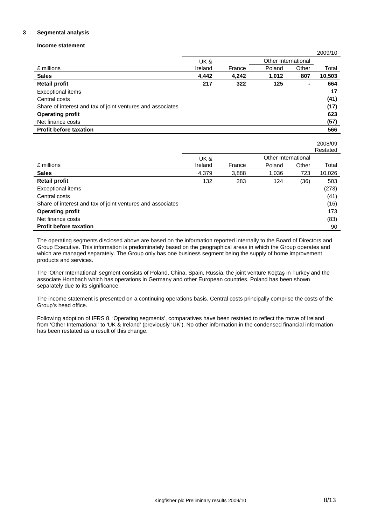#### **3 Segmental analysis**

#### **Income statement**

|                                                            |         |        |                     |       | 2009/10 |
|------------------------------------------------------------|---------|--------|---------------------|-------|---------|
|                                                            | UK &    |        | Other International |       |         |
| £ millions                                                 | Ireland | France | Poland              | Other | Total   |
| <b>Sales</b>                                               | 4,442   | 4,242  | 1,012               | 807   | 10,503  |
| <b>Retail profit</b>                                       | 217     | 322    | 125                 | ٠     | 664     |
| Exceptional items                                          |         |        |                     |       | 17      |
| Central costs                                              |         |        |                     |       | (41)    |
| Share of interest and tax of joint ventures and associates |         |        |                     |       | (17)    |
| <b>Operating profit</b>                                    |         |        |                     |       | 623     |
| Net finance costs                                          |         |        |                     |       | (57)    |
| <b>Profit before taxation</b>                              |         |        |                     |       | 566     |

|                                                            |                |        |                     |       | 2008/09<br>Restated |
|------------------------------------------------------------|----------------|--------|---------------------|-------|---------------------|
|                                                            | <b>UK&amp;</b> |        | Other International |       |                     |
| £ millions                                                 | Ireland        | France | Poland              | Other | Total               |
| <b>Sales</b>                                               | 4,379          | 3,888  | 1,036               | 723   | 10,026              |
| <b>Retail profit</b>                                       | 132            | 283    | 124                 | (36)  | 503                 |
| <b>Exceptional items</b>                                   |                |        |                     |       | (273)               |
| Central costs                                              |                |        |                     |       | (41)                |
| Share of interest and tax of joint ventures and associates |                |        |                     |       | (16)                |
| <b>Operating profit</b>                                    |                |        |                     |       | 173                 |
| Net finance costs                                          |                |        |                     |       | (83)                |
| <b>Profit before taxation</b>                              |                |        |                     |       | 90                  |

The operating segments disclosed above are based on the information reported internally to the Board of Directors and Group Executive. This information is predominately based on the geographical areas in which the Group operates and which are managed separately. The Group only has one business segment being the supply of home improvement products and services.

The 'Other International' segment consists of Poland, China, Spain, Russia, the joint venture Koçtaş in Turkey and the associate Hornbach which has operations in Germany and other European countries. Poland has been shown separately due to its significance.

The income statement is presented on a continuing operations basis. Central costs principally comprise the costs of the Group's head office.

Following adoption of IFRS 8, 'Operating segments', comparatives have been restated to reflect the move of Ireland from 'Other International' to 'UK & Ireland' (previously 'UK'). No other information in the condensed financial information has been restated as a result of this change.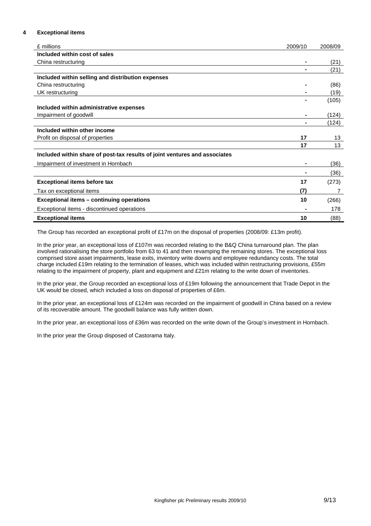#### **4 Exceptional items**

| £ millions                                                                 | 2009/10 | 2008/09 |
|----------------------------------------------------------------------------|---------|---------|
| Included within cost of sales                                              |         |         |
| China restructuring                                                        |         | (21)    |
|                                                                            |         | (21)    |
| Included within selling and distribution expenses                          |         |         |
| China restructuring                                                        |         | (86)    |
| UK restructuring                                                           | ۰.      | (19)    |
|                                                                            |         | (105)   |
| Included within administrative expenses                                    |         |         |
| Impairment of goodwill                                                     |         | (124)   |
|                                                                            |         | (124)   |
| Included within other income                                               |         |         |
| Profit on disposal of properties                                           | 17      | 13      |
|                                                                            | 17      | 13      |
| Included within share of post-tax results of joint ventures and associates |         |         |
| Impairment of investment in Hornbach                                       | ۰       | (36)    |
|                                                                            |         | (36)    |
| <b>Exceptional items before tax</b>                                        | 17      | (273)   |
| Tax on exceptional items                                                   | (7)     | 7       |
| Exceptional items - continuing operations                                  | 10      | (266)   |
| Exceptional items - discontinued operations                                |         | 178     |
| <b>Exceptional items</b>                                                   | 10      | (88)    |

The Group has recorded an exceptional profit of £17m on the disposal of properties (2008/09: £13m profit).

In the prior year, an exceptional loss of £107m was recorded relating to the B&Q China turnaround plan. The plan involved rationalising the store portfolio from 63 to 41 and then revamping the remaining stores. The exceptional loss comprised store asset impairments, lease exits, inventory write downs and employee redundancy costs. The total charge included £19m relating to the termination of leases, which was included within restructuring provisions, £55m relating to the impairment of property, plant and equipment and £21m relating to the write down of inventories.

In the prior year, the Group recorded an exceptional loss of £19m following the announcement that Trade Depot in the UK would be closed, which included a loss on disposal of properties of £6m.

In the prior year, an exceptional loss of £124m was recorded on the impairment of goodwill in China based on a review of its recoverable amount. The goodwill balance was fully written down.

In the prior year, an exceptional loss of £36m was recorded on the write down of the Group's investment in Hornbach.

In the prior year the Group disposed of Castorama Italy.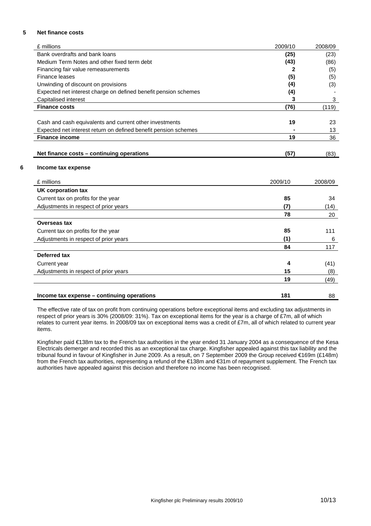#### **5 Net finance costs**

|                                                                 | 2009/10 | 2008/09      |
|-----------------------------------------------------------------|---------|--------------|
| Bank overdrafts and bank loans                                  | (25)    | (23)         |
| Medium Term Notes and other fixed term debt                     | (43)    | (86)         |
| Financing fair value remeasurements                             | 2       |              |
| Finance leases                                                  | (5)     |              |
| Unwinding of discount on provisions                             | (4)     |              |
| Expected net interest charge on defined benefit pension schemes | (4)     |              |
| Capitalised interest                                            | 3       |              |
| <b>Finance costs</b>                                            | (76)    | (119)        |
| Cash and cash equivalents and current other investments         | 19      |              |
| Expected net interest return on defined benefit pension schemes |         |              |
| <b>Finance income</b>                                           | 19      |              |
| Net finance costs - continuing operations                       | (57)    | (83)         |
| £ millions                                                      | 2009/10 | 2008/09      |
| <b>UK corporation tax</b>                                       |         |              |
| Current tax on profits for the year                             | 85      |              |
| Adjustments in respect of prior years                           | (7)     | (14)         |
|                                                                 | 78      |              |
| Overseas tax                                                    |         |              |
| Current tax on profits for the year                             | 85      | 111          |
| Adjustments in respect of prior years                           | (1)     |              |
|                                                                 | 84      | 117          |
|                                                                 |         |              |
| Deferred tax                                                    |         |              |
| Current year                                                    | 4       |              |
| Adjustments in respect of prior years                           | 15      |              |
|                                                                 | 19      | (41)<br>(49) |

The effective rate of tax on profit from continuing operations before exceptional items and excluding tax adjustments in respect of prior years is 30% (2008/09: 31%). Tax on exceptional items for the year is a charge of £7m, all of which relates to current year items. In 2008/09 tax on exceptional items was a credit of £7m, all of which related to current year items.

Kingfisher paid €138m tax to the French tax authorities in the year ended 31 January 2004 as a consequence of the Kesa Electricals demerger and recorded this as an exceptional tax charge. Kingfisher appealed against this tax liability and the tribunal found in favour of Kingfisher in June 2009. As a result, on 7 September 2009 the Group received €169m (£148m) from the French tax authorities, representing a refund of the €138m and €31m of repayment supplement. The French tax authorities have appealed against this decision and therefore no income has been recognised.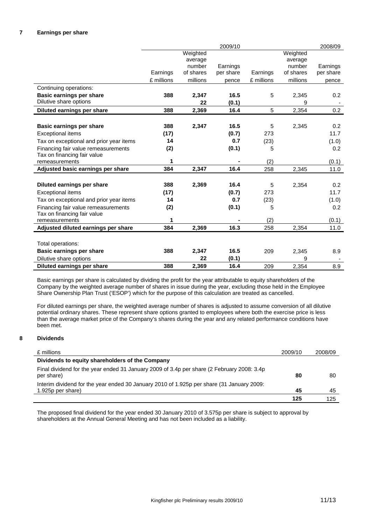|                                         |            |           | 2009/10   |            |           | 2008/09          |
|-----------------------------------------|------------|-----------|-----------|------------|-----------|------------------|
|                                         |            | Weighted  |           |            | Weighted  |                  |
|                                         |            | average   |           |            | average   |                  |
|                                         |            | number    | Earnings  |            | number    | Earnings         |
|                                         | Earnings   | of shares | per share | Earnings   | of shares | per share        |
|                                         | £ millions | millions  | pence     | £ millions | millions  | pence            |
| Continuing operations:                  |            |           |           |            |           |                  |
| Basic earnings per share                | 388        | 2,347     | 16.5      | 5          | 2,345     | 0.2 <sub>0</sub> |
| Dilutive share options                  |            | 22        | (0.1)     |            | 9         |                  |
| Diluted earnings per share              | 388        | 2,369     | 16.4      | 5          | 2,354     | 0.2              |
|                                         |            |           |           |            |           |                  |
| Basic earnings per share                | 388        | 2,347     | 16.5      | 5          | 2,345     | 0.2 <sub>0</sub> |
| <b>Exceptional items</b>                | (17)       |           | (0.7)     | 273        |           | 11.7             |
| Tax on exceptional and prior year items | 14         |           | 0.7       | (23)       |           | (1.0)            |
| Financing fair value remeasurements     | (2)        |           | (0.1)     | 5          |           | 0.2              |
| Tax on financing fair value             |            |           |           |            |           |                  |
| remeasurements                          | 1          |           |           | (2)        |           | (0.1)            |
| Adjusted basic earnings per share       | 384        | 2,347     | 16.4      | 258        | 2,345     | 11.0             |
|                                         |            |           |           |            |           |                  |
| Diluted earnings per share              | 388        | 2,369     | 16.4      | 5          | 2,354     | 0.2              |
| <b>Exceptional items</b>                | (17)       |           | (0.7)     | 273        |           | 11.7             |
| Tax on exceptional and prior year items | 14         |           | 0.7       | (23)       |           | (1.0)            |
| Financing fair value remeasurements     | (2)        |           | (0.1)     | 5          |           | 0.2              |
| Tax on financing fair value             |            |           |           |            |           |                  |
| remeasurements                          | 1          |           |           | (2)        |           | (0.1)            |
| Adjusted diluted earnings per share     | 384        | 2,369     | 16.3      | 258        | 2,354     | 11.0             |
|                                         |            |           |           |            |           |                  |
| Total operations:                       |            |           |           |            |           |                  |
| Basic earnings per share                | 388        | 2,347     | 16.5      | 209        | 2,345     | 8.9              |
| Dilutive share options                  |            | 22        | (0.1)     |            | 9         |                  |
| Diluted earnings per share              | 388        | 2,369     | 16.4      | 209        | 2.354     | 8.9              |

Basic earnings per share is calculated by dividing the profit for the year attributable to equity shareholders of the Company by the weighted average number of shares in issue during the year, excluding those held in the Employee Share Ownership Plan Trust ('ESOP') which for the purpose of this calculation are treated as cancelled.

For diluted earnings per share, the weighted average number of shares is adjusted to assume conversion of all dilutive potential ordinary shares. These represent share options granted to employees where both the exercise price is less than the average market price of the Company's shares during the year and any related performance conditions have been met.

#### **8 Dividends**

| £ millions                                                                                                     | 2009/10 | 2008/09 |
|----------------------------------------------------------------------------------------------------------------|---------|---------|
| Dividends to equity shareholders of the Company                                                                |         |         |
| Final dividend for the year ended 31 January 2009 of 3.4p per share (2 February 2008: 3.4p<br>per share)       | 80      | 80      |
| Interim dividend for the year ended 30 January 2010 of 1.925p per share (31 January 2009:<br>1.925p per share) | 45      | 45      |
|                                                                                                                | 125     | 125     |

The proposed final dividend for the year ended 30 January 2010 of 3.575p per share is subject to approval by shareholders at the Annual General Meeting and has not been included as a liability.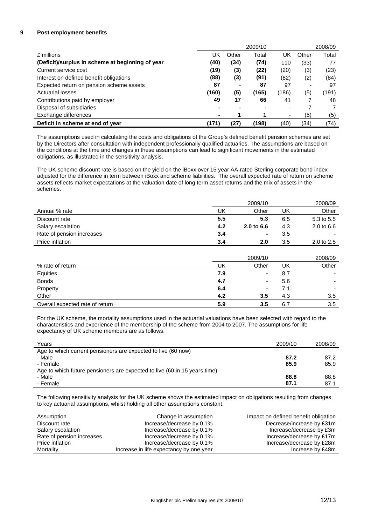#### **9 Post employment benefits**

|                                                  |       |                | 2009/10 |       |       | 2008/09 |
|--------------------------------------------------|-------|----------------|---------|-------|-------|---------|
| £ millions                                       | UK    | Other          | Total   | UK    | Other | Total   |
| (Deficit)/surplus in scheme at beginning of year | (40)  | (34)           | (74)    | 110   | (33)  | 77      |
| Current service cost                             | (19)  | (3)            | (22)    | (20)  | (3)   | (23)    |
| Interest on defined benefit obligations          | (88)  | (3)            | (91)    | (82)  | (2)   | (84)    |
| Expected return on pension scheme assets         | 87    | $\blacksquare$ | 87      | 97    |       | 97      |
| <b>Actuarial losses</b>                          | (160) | (5)            | (165)   | (186) | (5)   | (191)   |
| Contributions paid by employer                   | 49    | 17             | 66      | 41    |       | 48      |
| Disposal of subsidiaries                         |       |                |         | -     |       |         |
| Exchange differences                             |       |                |         | ۰     | (5)   | (5)     |
| Deficit in scheme at end of year                 | (171) | (27)           | (198)   | (40)  | '34)  | (74)    |

The assumptions used in calculating the costs and obligations of the Group's defined benefit pension schemes are set by the Directors after consultation with independent professionally qualified actuaries. The assumptions are based on the conditions at the time and changes in these assumptions can lead to significant movements in the estimated obligations, as illustrated in the sensitivity analysis.

The UK scheme discount rate is based on the yield on the iBoxx over 15 year AA-rated Sterling corporate bond index adjusted for the difference in term between iBoxx and scheme liabilities. The overall expected rate of return on scheme assets reflects market expectations at the valuation date of long term asset returns and the mix of assets in the schemes.

|                           |     | 2008/09    |     |            |
|---------------------------|-----|------------|-----|------------|
| Annual % rate             | UK  | Other      | UK  | Other      |
| Discount rate             | 5.5 | 5.3        | 6.5 | 5.3 to 5.5 |
| Salary escalation         | 4.2 | 2.0 to 6.6 | 4.3 | 2.0 to 6.6 |
| Rate of pension increases | 3.4 |            | 3.5 |            |
| Price inflation           | 3.4 | 2.0        | 3.5 | 2.0 to 2.5 |

|                                 |     | 2009/10 |     | 2008/09 |
|---------------------------------|-----|---------|-----|---------|
| % rate of return                | UK  | Other   | UK  | Other   |
| Equities                        | 7.9 |         | 8.7 |         |
| <b>Bonds</b>                    | 4.7 |         | 5.6 | -       |
| Property                        | 6.4 | ۰       | 7.1 |         |
| Other                           | 4.2 | 3.5     | 4.3 | 3.5     |
| Overall expected rate of return | 5.9 | 3.5     | 6.7 | 3.5     |

For the UK scheme, the mortality assumptions used in the actuarial valuations have been selected with regard to the characteristics and experience of the membership of the scheme from 2004 to 2007. The assumptions for life expectancy of UK scheme members are as follows:

| Years                                                                     | 2009/10 | 2008/09 |
|---------------------------------------------------------------------------|---------|---------|
| Age to which current pensioners are expected to live (60 now)             |         |         |
| - Male                                                                    | 87.2    | 87.2    |
| - Female                                                                  | 85.9    | 85.9    |
| Age to which future pensioners are expected to live (60 in 15 years time) |         |         |
| - Male                                                                    | 88.8    | 88.8    |
| - Female                                                                  | 87.1    | 87.1    |

The following sensitivity analysis for the UK scheme shows the estimated impact on obligations resulting from changes to key actuarial assumptions, whilst holding all other assumptions constant.

| Assumption                | Change in assumption                    | Impact on defined benefit obligation |
|---------------------------|-----------------------------------------|--------------------------------------|
| Discount rate             | Increase/decrease by 0.1%               | Decrease/increase by £31m            |
| Salary escalation         | Increase/decrease by 0.1%               | Increase/decrease by £3m             |
| Rate of pension increases | Increase/decrease by 0.1%               | Increase/decrease by £17m            |
| Price inflation           | Increase/decrease by 0.1%               | Increase/decrease by £28m            |
| Mortality                 | Increase in life expectancy by one year | Increase by £48m                     |